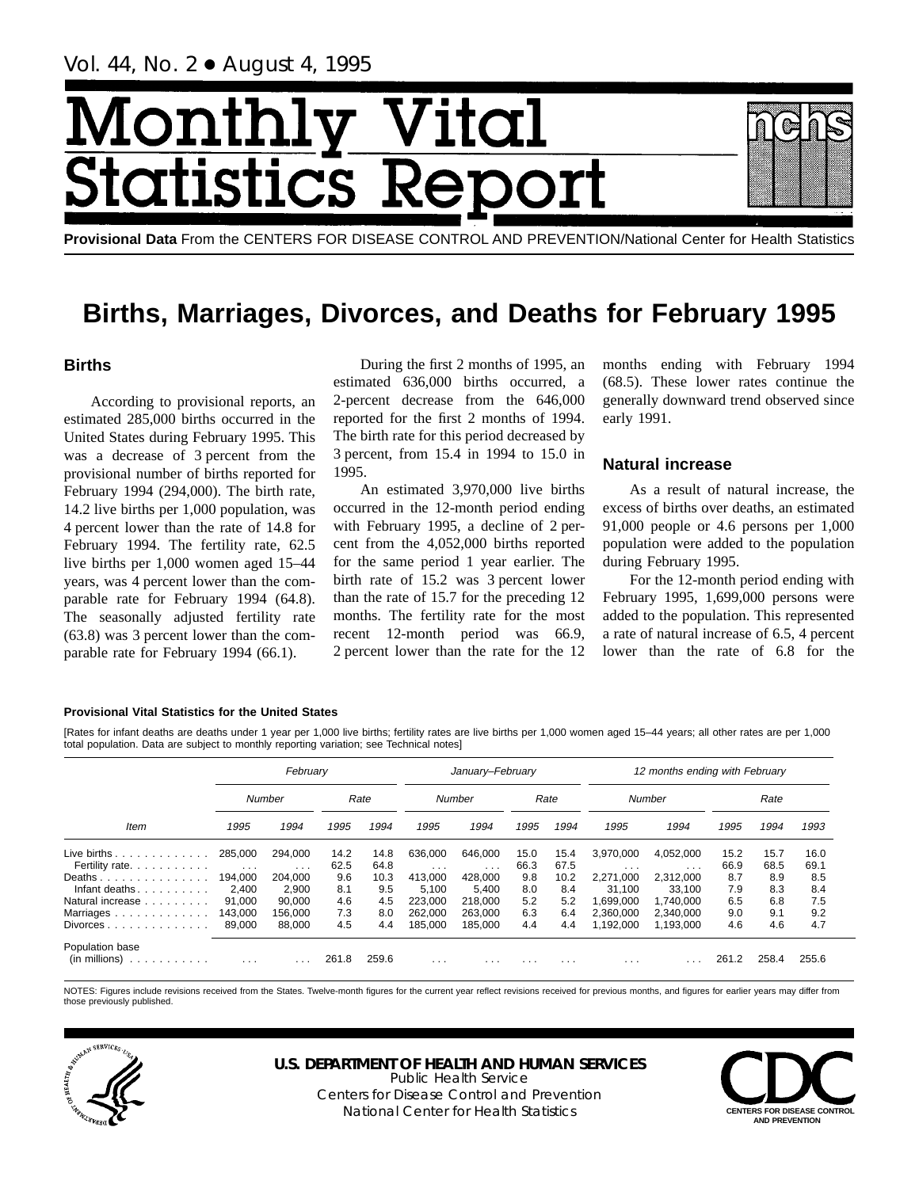Vol. 44, No. 2 + August 4, 1995

# Aonth Vital  $\overline{\text{cs}}$   $\overline{\text{R}}$ tatis

**Provisional Data** From the CENTERS FOR DISEASE CONTROL AND PREVENTION/National Center for Health Statistics

## **Births, Marriages, Divorces, and Deaths for February 1995**

## **Births**

According to provisional reports, an estimated 285,000 births occurred in the United States during February 1995. This was a decrease of 3 percent from the provisional number of births reported for February 1994 (294,000). The birth rate, 14.2 live births per 1,000 population, was 4 percent lower than the rate of 14.8 for February 1994. The fertility rate, 62.5 live births per 1,000 women aged 15–44 years, was 4 percent lower than the comparable rate for February 1994 (64.8). The seasonally adjusted fertility rate (63.8) was 3 percent lower than the comparable rate for February 1994 (66.1).

During the first 2 months of 1995, an estimated 636,000 births occurred, a 2-percent decrease from the 646,000 reported for the first 2 months of 1994. The birth rate for this period decreased by 3 percent, from 15.4 in 1994 to 15.0 in 1995.

An estimated 3,970,000 live births occurred in the 12-month period ending with February 1995, a decline of 2 percent from the 4,052,000 births reported for the same period 1 year earlier. The birth rate of 15.2 was 3 percent lower than the rate of 15.7 for the preceding 12 months. The fertility rate for the most recent 12-month period was 66.9, 2 percent lower than the rate for the 12

months ending with February 1994 (68.5). These lower rates continue the generally downward trend observed since early 1991.

## **Natural increase**

As a result of natural increase, the excess of births over deaths, an estimated 91,000 people or 4.6 persons per 1,000 population were added to the population during February 1995.

For the 12-month period ending with February 1995, 1,699,000 persons were added to the population. This represented a rate of natural increase of 6.5, 4 percent lower than the rate of 6.8 for the

#### **Provisional Vital Statistics for the United States**

[Rates for infant deaths are deaths under 1 year per 1,000 live births; fertility rates are live births per 1,000 women aged 15–44 years; all other rates are per 1,000 total population. Data are subject to monthly reporting variation; see Technical notes]

| February                                                                                                                                                                                                                                                           |                                 |                     |              |              |                     | January-February        |              |              | 12 months ending with February |                        |              |              |              |  |
|--------------------------------------------------------------------------------------------------------------------------------------------------------------------------------------------------------------------------------------------------------------------|---------------------------------|---------------------|--------------|--------------|---------------------|-------------------------|--------------|--------------|--------------------------------|------------------------|--------------|--------------|--------------|--|
|                                                                                                                                                                                                                                                                    |                                 | Number              |              | Rate         |                     | Number                  |              | Rate         |                                | Number                 |              | Rate         |              |  |
| Item                                                                                                                                                                                                                                                               | 1995                            | 1994                | 1995         | 1994         | 1995                | 1994                    | 1995         | 1994         | 1995                           | 1994                   | 1995         | 1994         | 1993         |  |
| Live births $\ldots$<br>Fertility rate.                                                                                                                                                                                                                            | 285.000<br>$\sim$ $\sim$ $\sim$ | 294.000<br>$\cdots$ | 14.2<br>62.5 | 14.8<br>64.8 | 636,000<br>$\cdots$ | 646.000<br>$\cdots$     | 15.0<br>66.3 | 15.4<br>67.5 | 3.970.000<br>$\cdots$          | 4,052,000<br>$\cdots$  | 15.2<br>66.9 | 15.7<br>68.5 | 16.0<br>69.1 |  |
| Deaths<br>Infant deaths                                                                                                                                                                                                                                            | 194.000<br>2.400                | 204.000<br>2.900    | 9.6<br>8.1   | 10.3<br>9.5  | 413.000<br>5.100    | 428.000<br>5.400        | 9.8<br>8.0   | 10.2<br>8.4  | 2.271.000<br>31.100            | 2.312.000<br>33.100    | 8.7<br>7.9   | 8.9<br>8.3   | 8.5<br>8.4   |  |
| Natural increase<br>Marriages.                                                                                                                                                                                                                                     | 91.000<br>143,000               | 90.000<br>156.000   | 4.6<br>7.3   | 4.5<br>8.0   | 223,000<br>262,000  | 218,000<br>263.000      | 5.2<br>6.3   | 5.2<br>6.4   | 1.699.000<br>2.360.000         | 1.740.000<br>2.340.000 | 6.5<br>9.0   | 6.8<br>9.1   | 7.5<br>9.2   |  |
| $Divorces \dots \dots \dots \dots \dots$                                                                                                                                                                                                                           | 89.000                          | 88.000              | 4.5          | 4.4          | 185.000             | 185.000                 | 4.4          | 4.4          | 1.192.000                      | 1.193.000              | 4.6          | 4.6          | 4.7          |  |
| Population base<br>(in millions)<br>the second contract of the second contract of the second contract of the second contract of the second contract of the second contract of the second contract of the second contract of the second contract of the second cont | $\cdots$                        | .                   | 261.8        | 259.6        | $\cdots$            | $\cdot$ $\cdot$ $\cdot$ | .            | $\cdots$     | $\cdots$                       | .                      | 261.2        | 258.4        | 255.6        |  |

NOTES: Figures include revisions received from the States. Twelve-month figures for the current year reflect revisions received for previous months, and figures for earlier years may differ from those previously published.



#### **U.S. DEPARTMENT OF HEALTH AND HUMAN SERVICES** Public Health Service

Centers for Disease Control and Prevention National Center for Health Statistics **CENTERS FOR DISEASE CONTROL** 

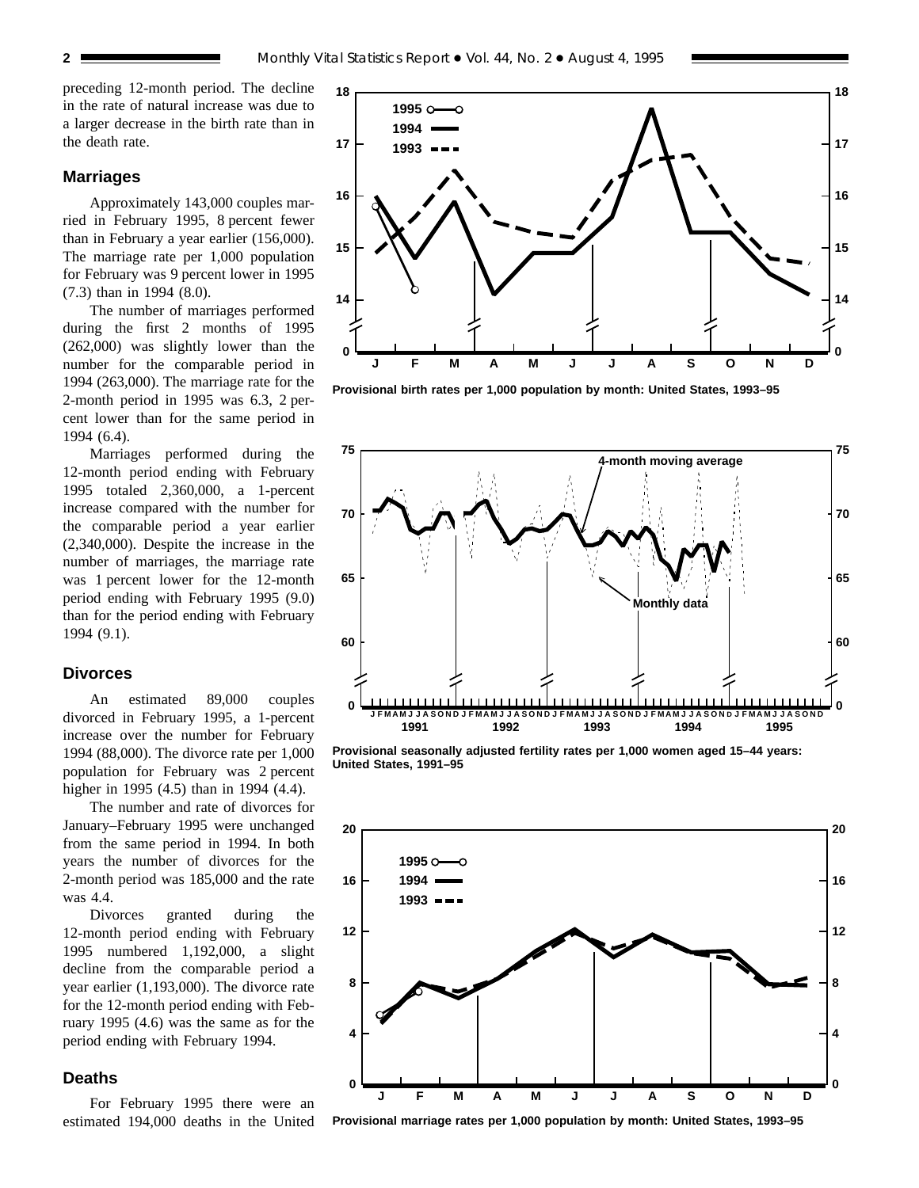preceding 12-month period. The decline in the rate of natural increase was due to a larger decrease in the birth rate than in the death rate.

### **Marriages**

Approximately 143,000 couples married in February 1995, 8 percent fewer than in February a year earlier (156,000). The marriage rate per 1,000 population for February was 9 percent lower in 1995 (7.3) than in 1994 (8.0).

The number of marriages performed during the first 2 months of 1995 (262,000) was slightly lower than the number for the comparable period in 1994 (263,000). The marriage rate for the 2-month period in 1995 was 6.3, 2 percent lower than for the same period in 1994 (6.4).

Marriages performed during the 12-month period ending with February 1995 totaled 2,360,000, a 1-percent increase compared with the number for the comparable period a year earlier (2,340,000). Despite the increase in the number of marriages, the marriage rate was 1 percent lower for the 12-month period ending with February 1995 (9.0) than for the period ending with February 1994 (9.1).

#### **Divorces**

An estimated 89,000 couples divorced in February 1995, a 1-percent increase over the number for February 1994 (88,000). The divorce rate per 1,000 population for February was 2 percent higher in 1995 (4.5) than in 1994 (4.4).

The number and rate of divorces for January–February 1995 were unchanged from the same period in 1994. In both years the number of divorces for the 2-month period was 185,000 and the rate was 4.4.

Divorces granted during the 12-month period ending with February 1995 numbered 1,192,000, a slight decline from the comparable period a year earlier (1,193,000). The divorce rate for the 12-month period ending with February 1995 (4.6) was the same as for the period ending with February 1994.

## **Deaths**

For February 1995 there were an estimated 194,000 deaths in the United



**Provisional birth rates per 1,000 population by month: United States, 1993–95**



**Provisional seasonally adjusted fertility rates per 1,000 women aged 15–44 years: United States, 1991–95**



**Provisional marriage rates per 1,000 population by month: United States, 1993–95**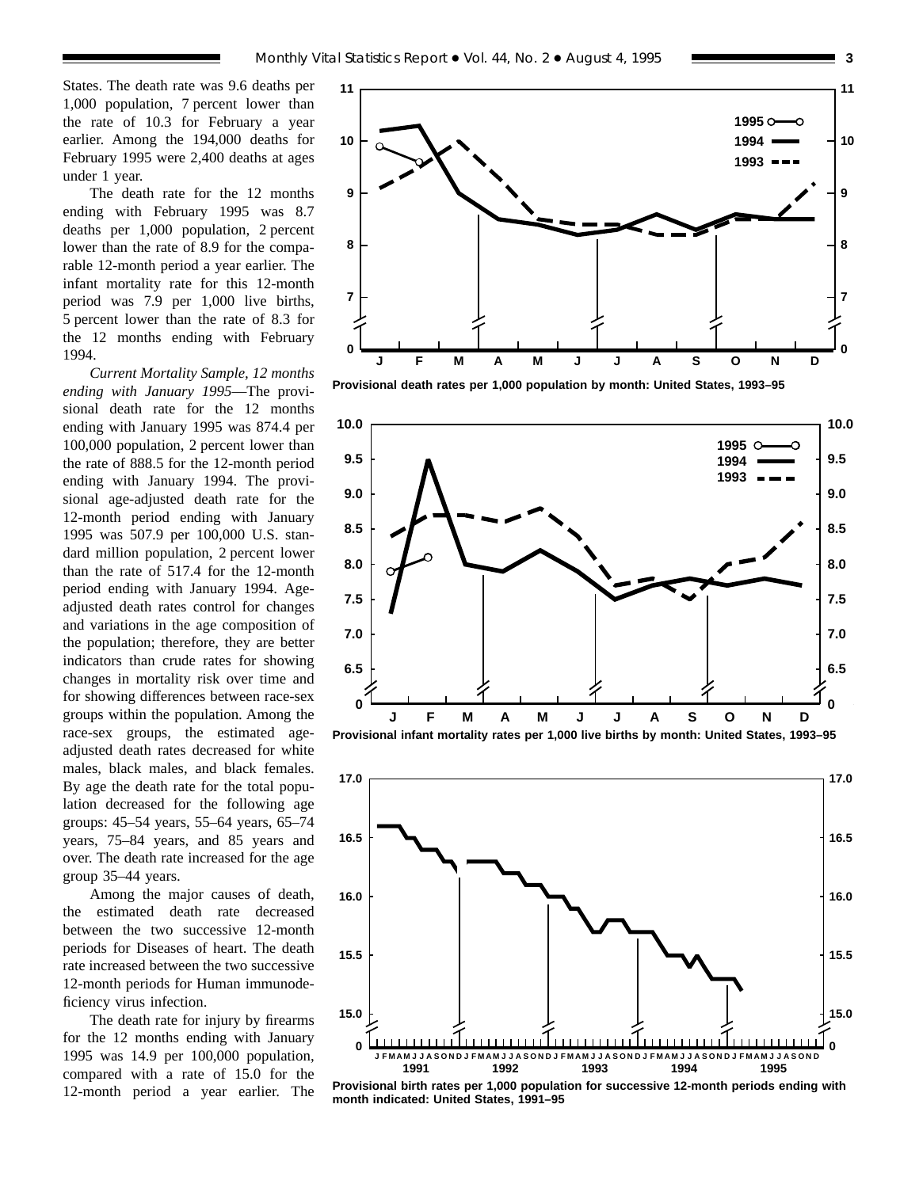States. The death rate was 9.6 deaths per 1,000 population, 7 percent lower than the rate of 10.3 for February a year earlier. Among the 194,000 deaths for February 1995 were 2,400 deaths at ages under 1 year.

The death rate for the 12 months ending with February 1995 was 8.7 deaths per 1,000 population, 2 percent lower than the rate of 8.9 for the comparable 12-month period a year earlier. The infant mortality rate for this 12-month period was 7.9 per 1,000 live births, 5 percent lower than the rate of 8.3 for the 12 months ending with February 1994.

*Current Mortality Sample, 12 months ending with January 1995*—The provisional death rate for the 12 months ending with January 1995 was 874.4 per 100,000 population, 2 percent lower than the rate of 888.5 for the 12-month period ending with January 1994. The provisional age-adjusted death rate for the 12-month period ending with January 1995 was 507.9 per 100,000 U.S. standard million population, 2 percent lower than the rate of 517.4 for the 12-month period ending with January 1994. Ageadjusted death rates control for changes and variations in the age composition of the population; therefore, they are better indicators than crude rates for showing changes in mortality risk over time and for showing differences between race-sex groups within the population. Among the race-sex groups, the estimated ageadjusted death rates decreased for white males, black males, and black females. By age the death rate for the total population decreased for the following age groups: 45–54 years, 55–64 years, 65–74 years, 75–84 years, and 85 years and over. The death rate increased for the age group 35–44 years.

Among the major causes of death, the estimated death rate decreased between the two successive 12-month periods for Diseases of heart. The death rate increased between the two successive 12-month periods for Human immunodeficiency virus infection.

The death rate for injury by firearms for the 12 months ending with January 1995 was 14.9 per 100,000 population, compared with a rate of 15.0 for the 12-month period a year earlier. The



**Provisional death rates per 1,000 population by month: United States, 1993–95**





**Provisional birth rates per 1,000 population for successive 12-month periods ending with month indicated: United States, 1991–95**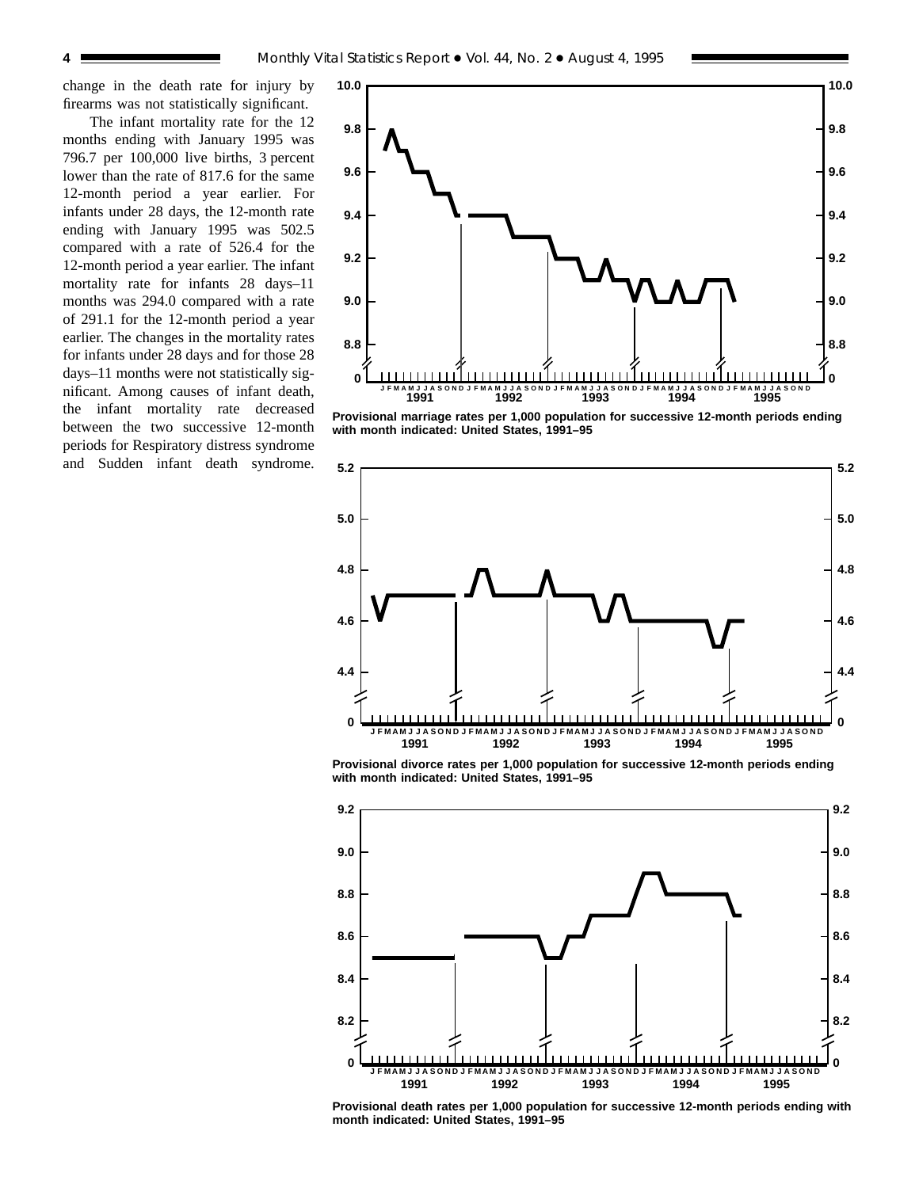change in the death rate for injury by firearms was not statistically significant.

The infant mortality rate for the 12 months ending with January 1995 was 796.7 per 100,000 live births, 3 percent lower than the rate of 817.6 for the same 12-month period a year earlier. For infants under 28 days, the 12-month rate ending with January 1995 was 502.5 compared with a rate of 526.4 for the 12-month period a year earlier. The infant mortality rate for infants 28 days–11 months was 294.0 compared with a rate of 291.1 for the 12-month period a year earlier. The changes in the mortality rates for infants under 28 days and for those 28 days–11 months were not statistically significant. Among causes of infant death, the infant mortality rate decreased between the two successive 12-month periods for Respiratory distress syndrome and Sudden infant death syndrome.



**Provisional marriage rates per 1,000 population for successive 12-month periods ending with month indicated: United States, 1991–95**



**Provisional divorce rates per 1,000 population for successive 12-month periods ending with month indicated: United States, 1991–95**



**Provisional death rates per 1,000 population for successive 12-month periods ending with month indicated: United States, 1991–95**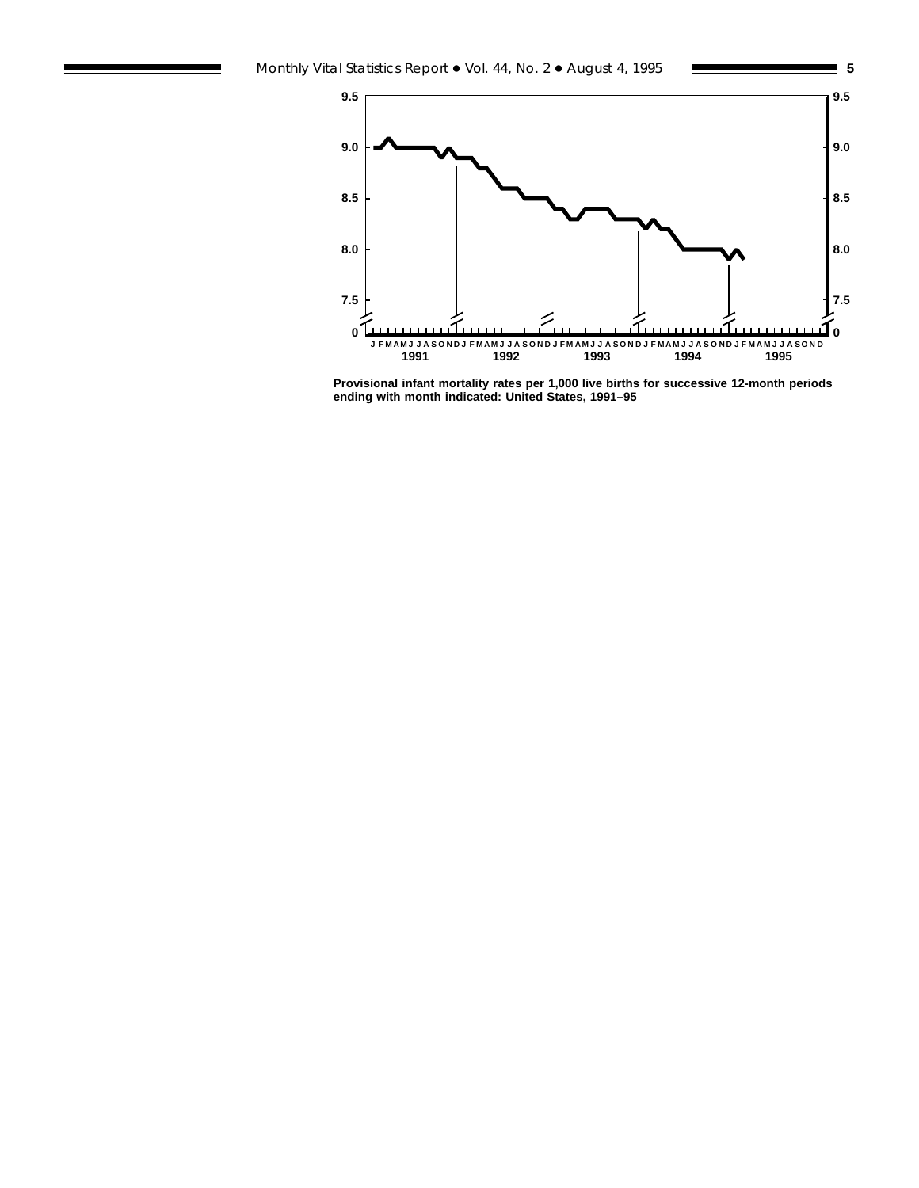

**Provisional infant mortality rates per 1,000 live births for successive 12-month periods ending with month indicated: United States, 1991–95**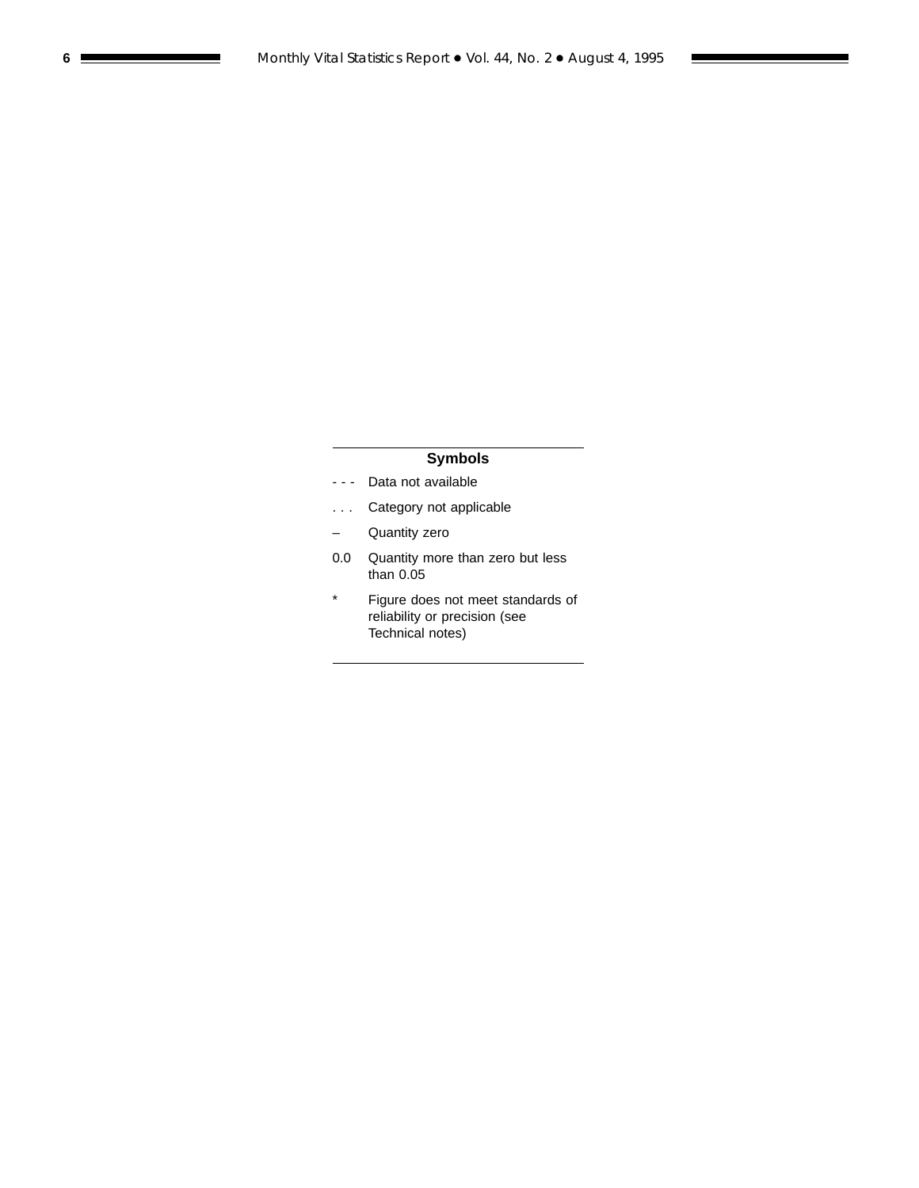## **Symbols**

- - Data not available
- . . . Category not applicable
- Quantity zero
- 0.0 Quantity more than zero but less than 0.05
- \* Figure does not meet standards of reliability or precision (see Technical notes)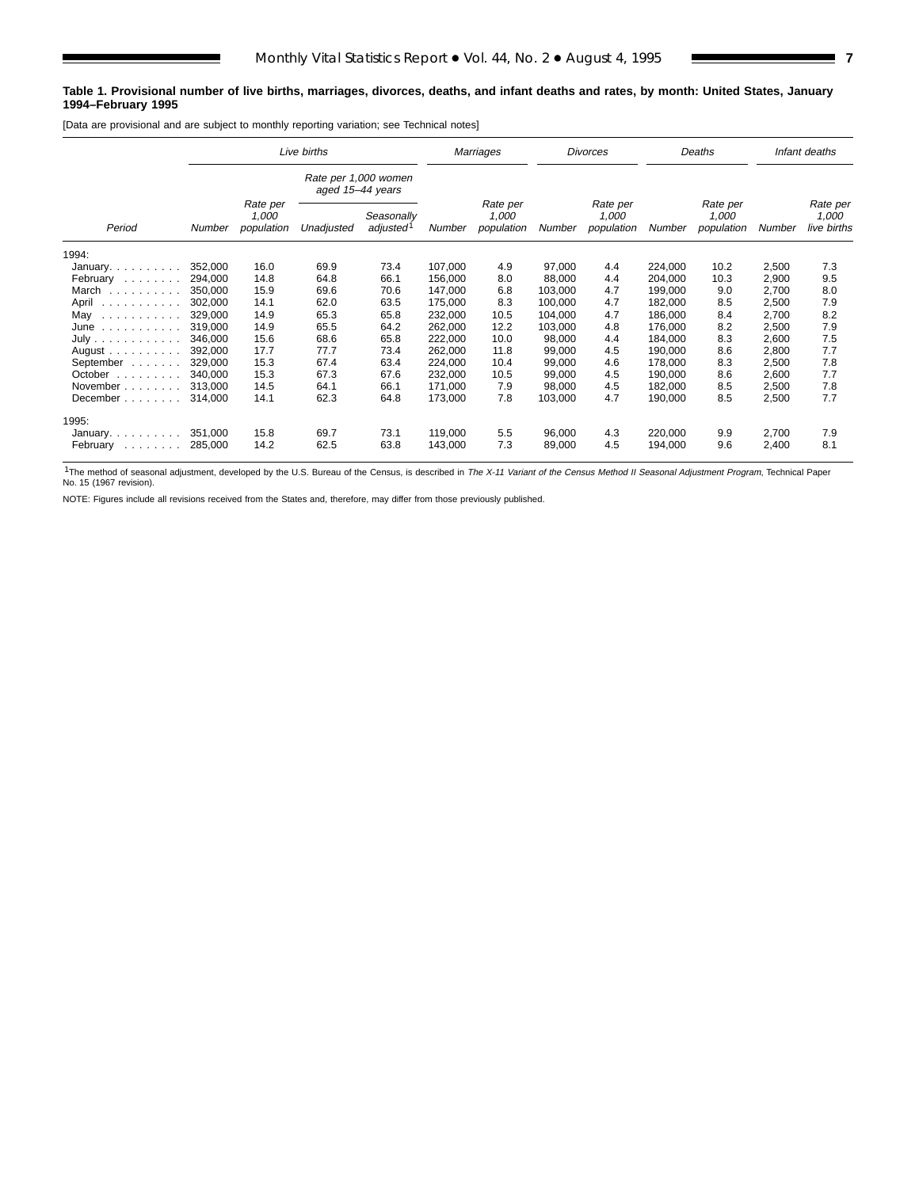#### **Table 1. Provisional number of live births, marriages, divorces, deaths, and infant deaths and rates, by month: United States, January 1994–February 1995**

[Data are provisional and are subject to monthly reporting variation; see Technical notes]

|                                       | Live births |                                 |                  |                                     | Marriages |                                 | <b>Divorces</b> |                                 | Deaths  | Infant deaths                   |        |                                  |
|---------------------------------------|-------------|---------------------------------|------------------|-------------------------------------|-----------|---------------------------------|-----------------|---------------------------------|---------|---------------------------------|--------|----------------------------------|
|                                       |             |                                 | aged 15-44 years | Rate per 1,000 women                |           |                                 |                 |                                 |         |                                 |        |                                  |
| Period                                | Number      | Rate per<br>1,000<br>population | Unadjusted       | Seasonally<br>adjusted <sup>1</sup> | Number    | Rate per<br>1.000<br>population | Number          | Rate per<br>1,000<br>population | Number  | Rate per<br>1,000<br>population | Number | Rate per<br>1,000<br>live births |
| 1994:                                 |             |                                 |                  |                                     |           |                                 |                 |                                 |         |                                 |        |                                  |
| January. $\ldots$                     | 352,000     | 16.0                            | 69.9             | 73.4                                | 107,000   | 4.9                             | 97,000          | 4.4                             | 224,000 | 10.2                            | 2,500  | 7.3                              |
| February                              | 294,000     | 14.8                            | 64.8             | 66.1                                | 156,000   | 8.0                             | 88.000          | 4.4                             | 204,000 | 10.3                            | 2,900  | 9.5                              |
| March                                 | 350.000     | 15.9                            | 69.6             | 70.6                                | 147,000   | 6.8                             | 103,000         | 4.7                             | 199,000 | 9.0                             | 2,700  | 8.0                              |
| April<br>.                            | 302,000     | 14.1                            | 62.0             | 63.5                                | 175,000   | 8.3                             | 100,000         | 4.7                             | 182,000 | 8.5                             | 2,500  | 7.9                              |
| May<br>المتعاط والمتحالة والمتحالة    | 329,000     | 14.9                            | 65.3             | 65.8                                | 232,000   | 10.5                            | 104,000         | 4.7                             | 186,000 | 8.4                             | 2,700  | 8.2                              |
| June                                  | 319.000     | 14.9                            | 65.5             | 64.2                                | 262,000   | 12.2                            | 103,000         | 4.8                             | 176,000 | 8.2                             | 2,500  | 7.9                              |
| July                                  | 346.000     | 15.6                            | 68.6             | 65.8                                | 222,000   | 10.0                            | 98,000          | 4.4                             | 184,000 | 8.3                             | 2,600  | 7.5                              |
| August $\ldots$ , $\ldots$ , $\ldots$ | 392,000     | 17.7                            | 77.7             | 73.4                                | 262,000   | 11.8                            | 99,000          | 4.5                             | 190,000 | 8.6                             | 2,800  | 7.7                              |
| September<br>and a straight           | 329,000     | 15.3                            | 67.4             | 63.4                                | 224,000   | 10.4                            | 99,000          | 4.6                             | 178,000 | 8.3                             | 2,500  | 7.8                              |
| October<br>.                          | 340.000     | 15.3                            | 67.3             | 67.6                                | 232,000   | 10.5                            | 99,000          | 4.5                             | 190,000 | 8.6                             | 2,600  | 7.7                              |
| November                              | 313.000     | 14.5                            | 64.1             | 66.1                                | 171,000   | 7.9                             | 98,000          | 4.5                             | 182,000 | 8.5                             | 2,500  | 7.8                              |
| December                              | 314,000     | 14.1                            | 62.3             | 64.8                                | 173,000   | 7.8                             | 103,000         | 4.7                             | 190,000 | 8.5                             | 2,500  | 7.7                              |
| 1995:                                 |             |                                 |                  |                                     |           |                                 |                 |                                 |         |                                 |        |                                  |
| January                               | 351,000     | 15.8                            | 69.7             | 73.1                                | 119,000   | 5.5                             | 96,000          | 4.3                             | 220,000 | 9.9                             | 2,700  | 7.9                              |
| February<br>.                         | 285,000     | 14.2                            | 62.5             | 63.8                                | 143,000   | 7.3                             | 89,000          | 4.5                             | 194,000 | 9.6                             | 2,400  | 8.1                              |

<sup>1</sup>The method of seasonal adjustment, developed by the U.S. Bureau of the Census, is described in The X-11 Variant of the Census Method II Seasonal Adjustment Program, Technical Paper<br>No. 15 (1967 revision).

NOTE: Figures include all revisions received from the States and, therefore, may differ from those previously published.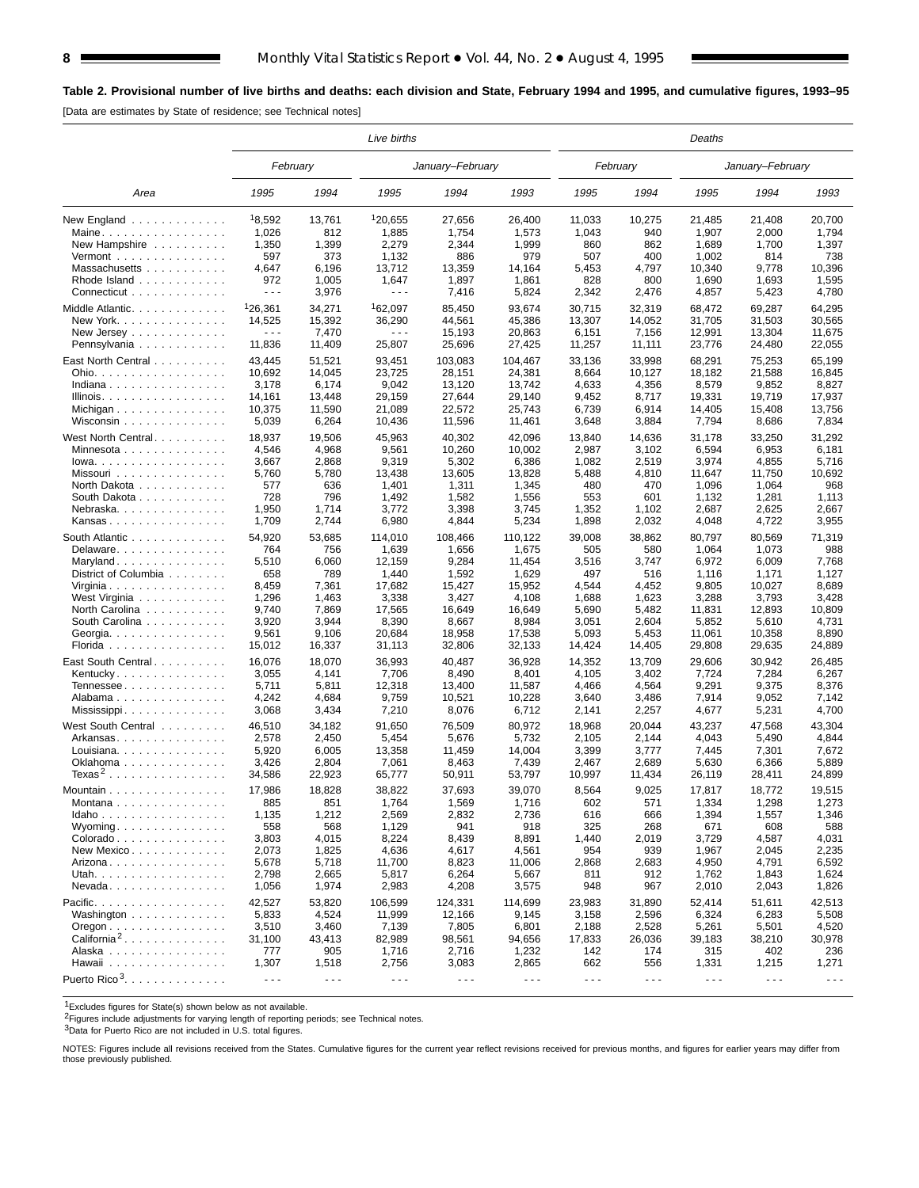## **Table 2. Provisional number of live births and deaths: each division and State, February 1994 and 1995, and cumulative figures, 1993–95**

[Data are estimates by State of residence; see Technical notes]

|                                           |                      |                      | Live births          |                      |                      | Deaths               |                      |                      |                      |                      |
|-------------------------------------------|----------------------|----------------------|----------------------|----------------------|----------------------|----------------------|----------------------|----------------------|----------------------|----------------------|
|                                           | February             |                      |                      | January-February     |                      |                      | February             |                      | January-February     |                      |
| Area                                      | 1995                 | 1994                 | 1995                 | 1994                 | 1993                 | 1995                 | 1994                 | 1995                 | 1994                 | 1993                 |
| New England $\ldots \ldots \ldots \ldots$ | 18,592               | 13,761               | 120,655              | 27,656               | 26,400               | 11,033               | 10,275               | 21,485               | 21,408               | 20,700               |
| Maine                                     | 1,026                | 812                  | 1,885                | 1,754                | 1,573                | 1,043                | 940                  | 1,907                | 2,000                | 1,794                |
| New Hampshire                             | 1,350                | 1,399                | 2,279                | 2,344                | 1,999                | 860                  | 862                  | 1,689                | 1,700                | 1,397                |
| Vermont $\ldots$                          | 597                  | 373                  | 1,132                | 886                  | 979                  | 507                  | 400                  | 1,002                | 814                  | 738                  |
| Massachusetts                             | 4,647                | 6,196                | 13,712               | 13,359               | 14,164               | 5,453                | 4,797                | 10,340               | 9,778                | 10,396               |
| Rhode Island                              | 972                  | 1,005                | 1,647                | 1,897                | 1,861                | 828                  | 800                  | 1,690                | 1,693                | 1,595                |
| Connecticut                               | $\sim$ $\sim$ $\sim$ | 3,976                | $\sim$ $\sim$ $\sim$ | 7,416                | 5,824                | 2,342                | 2,476                | 4,857                | 5,423                | 4,780                |
| Middle Atlantic.                          | 126,361              | 34,271               | <sup>1</sup> 62,097  | 85,450               | 93,674               | 30,715               | 32,319               | 68,472               | 69,287               | 64,295               |
| New York.                                 | 14,525               | 15,392               | 36,290               | 44,561               | 45,386               | 13,307               | 14,052               | 31,705               | 31,503               | 30,565               |
| New Jersey                                | $\sim$ $\sim$ $\sim$ | 7,470                | $\sim$ $\sim$ $\sim$ | 15,193               | 20,863               | 6,151                | 7,156                | 12,991               | 13,304               | 11,675               |
| Pennsylvania                              | 11,836               | 11,409               | 25,807               | 25,696               | 27,425               | 11,257               | 11,111               | 23,776               | 24,480               | 22,055               |
|                                           |                      |                      |                      |                      |                      |                      |                      |                      |                      |                      |
| East North Central                        | 43,445               | 51,521               | 93,451               | 103,083              | 104,467              | 33,136               | 33,998               | 68,291               | 75,253               | 65,199               |
| Ohio.                                     | 10,692               | 14,045               | 23,725               | 28,151               | 24,381               | 8,664                | 10,127               | 18,182               | 21,588               | 16,845               |
| Indiana                                   | 3,178                | 6,174                | 9,042                | 13,120               | 13,742               | 4,633                | 4,356                | 8,579                | 9,852                | 8,827                |
| Illinois.                                 | 14,161               | 13,448               | 29,159               | 27,644               | 29,140               | 9,452                | 8,717                | 19,331               | 19,719               | 17,937               |
| Michigan                                  | 10,375               | 11,590               | 21,089               | 22,572               | 25,743               | 6,739                | 6,914                | 14,405               | 15,408               | 13,756               |
| Wisconsin                                 | 5,039                | 6,264                | 10,436               | 11,596               | 11,461               | 3,648                | 3,884                | 7,794                | 8,686                | 7,834                |
| West North Central                        | 18,937               | 19,506               | 45,963               | 40,302               | 42,096               | 13,840               | 14,636               | 31,178               | 33,250               | 31,292               |
| Minnesota                                 | 4,546                | 4,968                | 9,561                | 10,260               | 10,002               | 2,987                | 3,102                | 6,594                | 6,953                | 6,181                |
| $Iowa. \ldots \ldots \ldots \ldots$       | 3,667                | 2,868                | 9,319                | 5,302                | 6,386                | 1,082                | 2,519                | 3,974                | 4,855                | 5,716                |
| Missouri                                  | 5,760                | 5,780                | 13,438               | 13,605               | 13,828               | 5,488                | 4,810                | 11,647               | 11,750               | 10,692               |
| North Dakota                              | 577                  | 636                  | 1,401                | 1,311                | 1,345                | 480                  | 470                  | 1,096                | 1,064                | 968                  |
| South Dakota                              | 728                  | 796                  | 1,492                | 1,582                | 1,556                | 553                  | 601                  | 1,132                | 1,281                | 1,113                |
| Nebraska.                                 | 1,950                | 1,714                | 3,772                | 3,398                | 3,745                | 1,352                | 1,102                | 2,687                | 2,625                | 2,667                |
| Kansas                                    | 1,709                | 2,744                | 6,980                | 4,844                | 5,234                | 1,898                | 2,032                | 4,048                | 4,722                | 3,955                |
|                                           |                      |                      |                      |                      |                      |                      |                      |                      |                      |                      |
| South Atlantic                            | 54,920               | 53,685               | 114,010              | 108,466              | 110,122              | 39,008               | 38,862               | 80,797               | 80,569               | 71,319               |
| Delaware.                                 | 764                  | 756                  | 1,639                | 1,656                | 1,675                | 505                  | 580                  | 1,064                | 1,073                | 988                  |
| Maryland                                  | 5,510                | 6,060                | 12,159               | 9,284                | 11,454               | 3,516                | 3,747                | 6,972                | 6,009                | 7,768                |
| District of Columbia                      | 658                  | 789                  | 1,440                | 1,592                | 1,629                | 497                  | 516                  | 1,116                | 1,171                | 1,127                |
| Virginia                                  | 8,459                | 7,361                | 17,682               | 15,427               | 15,952               | 4,544                | 4,452                | 9,805                | 10,027               | 8,689                |
| West Virginia                             | 1,296                | 1,463                | 3,338                | 3,427                | 4,108                | 1,688                | 1,623                | 3,288                | 3,793                | 3,428                |
| North Carolina                            | 9,740                | 7,869                | 17,565               | 16,649               | 16,649               | 5,690                | 5,482                | 11,831               | 12,893               | 10,809               |
| South Carolina                            | 3,920                | 3,944                | 8,390                | 8,667                | 8,984                | 3,051                | 2,604                | 5,852                | 5,610                | 4,731                |
| Georgia. $\ldots$ .                       | 9,561                | 9,106                | 20,684               | 18,958               | 17,538               | 5,093                | 5,453                | 11,061               | 10,358               | 8,890                |
| Florida                                   | 15,012               | 16,337               | 31,113               | 32,806               | 32,133               | 14,424               | 14,405               | 29,808               | 29,635               | 24,889               |
| East South Central                        | 16,076               | 18,070               | 36,993               | 40,487               | 36,928               | 14,352               | 13,709               | 29,606               | 30,942               | 26,485               |
| Kentucky                                  | 3,055                | 4,141                | 7,706                | 8,490                | 8,401                | 4,105                | 3,402                | 7,724                | 7,284                | 6,267                |
| Tennessee                                 | 5,711                | 5,811                | 12,318               | 13,400               | 11,587               | 4,466                | 4,564                | 9,291                | 9,375                | 8,376                |
| Alabama                                   | 4,242                | 4,684                | 9,759                | 10,521               | 10,228               | 3,640                | 3,486                | 7,914                | 9,052                | 7,142                |
| Mississippi                               | 3,068                | 3,434                | 7,210                | 8,076                | 6,712                | 2,141                | 2,257                | 4,677                | 5,231                | 4,700                |
| West South Central                        | 46,510               | 34,182               | 91,650               | 76,509               | 80,972               | 18,968               | 20,044               | 43,237               | 47,568               | 43,304               |
| Arkansas                                  | 2,578                | 2,450                | 5,454                | 5,676                | 5,732                | 2,105                | 2,144                | 4,043                | 5,490                | 4,844                |
| Louisiana                                 | 5,920                | 6,005                | 13,358               | 11,459               | 14,004               | 3,399                | 3,777                | 7,445                | 7,301                | 7,672                |
| Oklahoma                                  | 3,426                | 2,804                | 7,061                | 8,463                | 7,439                | 2,467                | 2,689                | 5,630                | 6,366                | 5,889                |
| Texas <sup>2</sup>                        | 34,586               | 22,923               | 65,777               | 50,911               | 53,797               | 10,997               | 11,434               | 26,119               | 28,411               | 24,899               |
|                                           |                      |                      |                      |                      |                      |                      |                      |                      |                      |                      |
| Mountain                                  | 17,986               | 18,828               | 38,822               | 37,693               | 39.070               | 8,564                | 9,025                | 17,817               | 18,772               | 19,515               |
| Montana                                   | 885                  | 851                  | 1,764                | 1,569                | 1,716                | 602                  | 571                  | 1,334                | 1,298                | 1,273                |
| Idaho                                     | 1,135                | 1,212                | 2,569                | 2,832                | 2,736                | 616                  | 666                  | 1,394                | 1,557                | 1,346                |
| Wyominq                                   | 558                  | 568                  | 1,129                | 941                  | 918                  | 325                  | 268                  | 671                  | 608                  | 588                  |
| Colorado                                  | 3,803                | 4,015                | 8,224                | 8,439                | 8,891                | 1,440                | 2,019                | 3,729                | 4,587                | 4,031                |
| New Mexico                                | 2,073                | 1,825                | 4,636                | 4,617                | 4,561                | 954                  | 939                  | 1,967                | 2,045                | 2,235                |
| Arizona.                                  | 5,678                | 5,718                | 11,700               | 8,823                | 11,006               | 2,868                | 2,683                | 4,950                | 4,791                | 6,592                |
| Utah.                                     | 2,798                | 2,665                | 5,817                | 6,264                | 5,667                | 811                  | 912                  | 1,762                | 1,843                | 1,624                |
| $N$ evada                                 | 1,056                | 1,974                | 2,983                | 4,208                | 3,575                | 948                  | 967                  | 2,010                | 2,043                | 1,826                |
| Pacific.                                  | 42,527               | 53,820               | 106,599              | 124,331              | 114,699              | 23,983               | 31,890               | 52,414               | 51,611               | 42,513               |
| Washington                                | 5,833                | 4,524                | 11,999               | 12,166               | 9,145                | 3,158                | 2,596                | 6,324                | 6,283                | 5,508                |
| $O$ regon $\ldots \ldots \ldots \ldots$   | 3,510                | 3,460                | 7,139                | 7,805                | 6,801                | 2,188                | 2,528                | 5,261                | 5,501                | 4,520                |
| $California^2$                            | 31,100               | 43,413               | 82,989               | 98,561               | 94,656               | 17,833               | 26,036               | 39,183               | 38,210               | 30,978               |
| Alaska                                    | 777                  | 905                  | 1,716                | 2,716                | 1,232                | 142                  | 174                  | 315                  | 402                  | 236                  |
| Hawaii                                    |                      |                      |                      |                      |                      | 662                  | 556                  |                      |                      |                      |
|                                           | 1,307                | 1,518                | 2,756                | 3,083                | 2,865                |                      |                      | 1,331                | 1,215                | 1,271                |
| Puerto Rico <sup>3</sup> .                | $\sim$ $\sim$ $\sim$ | $\sim$ $\sim$ $\sim$ | $\sim$ $\sim$ $\sim$ | $\sim$ $\sim$ $\sim$ | $\sim$ $\sim$ $\sim$ | $\sim$ $\sim$ $\sim$ | $\sim$ $\sim$ $\sim$ | $\sim$ $\sim$ $\sim$ | $\sim$ $\sim$ $\sim$ | $\sim$ $\sim$ $\sim$ |

1Excludes figures for State(s) shown below as not available.

<sup>2</sup>Figures include adjustments for varying length of reporting periods; see Technical notes.

3Data for Puerto Rico are not included in U.S. total figures.

NOTES: Figures include all revisions received from the States. Cumulative figures for the current year reflect revisions received for previous months, and figures for earlier years may differ from those previously published.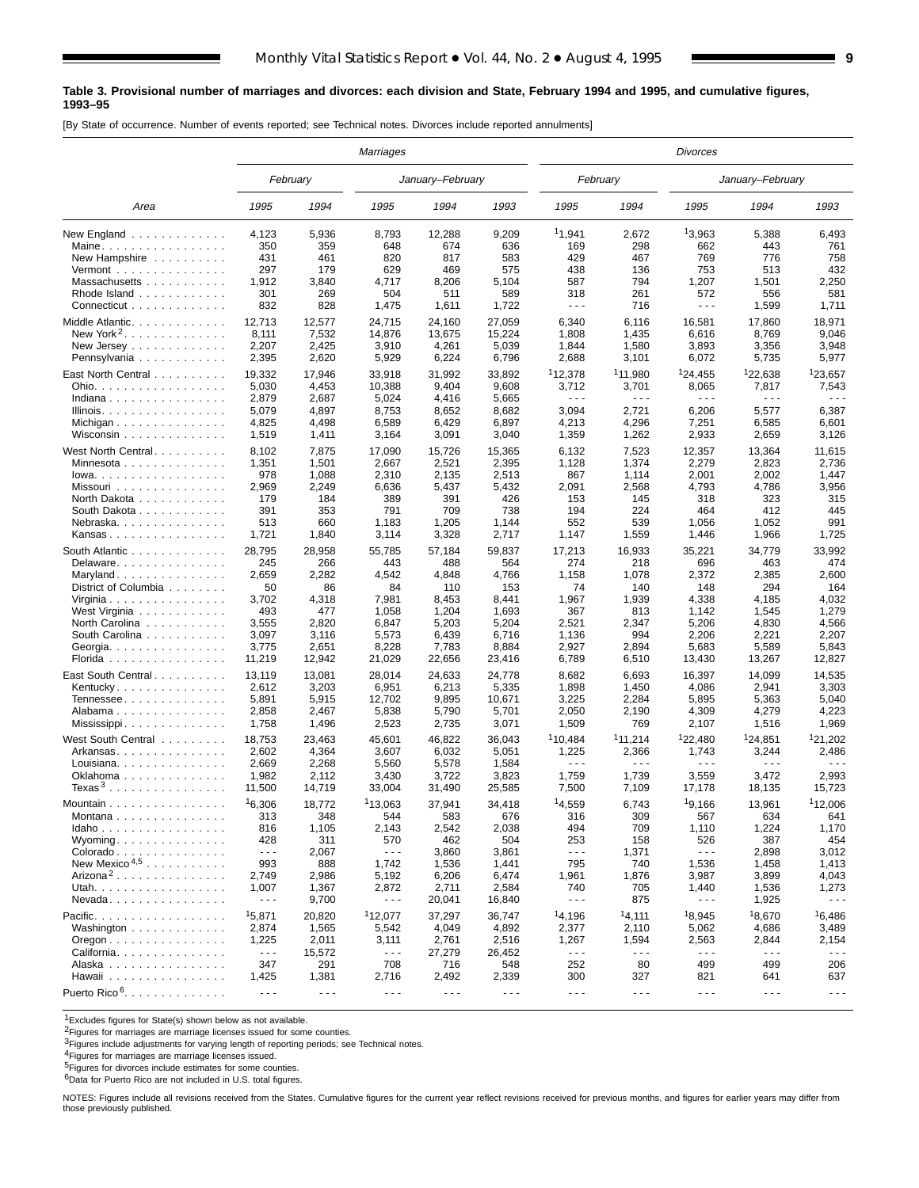#### **Table 3. Provisional number of marriages and divorces: each division and State, February 1994 and 1995, and cumulative figures, 1993–95**

[By State of occurrence. Number of events reported; see Technical notes. Divorces include reported annulments]

|                                                               |                      |                      | <b>Marriages</b>     |                  |                      |                      |                      | <b>Divorces</b>      |                      |                      |  |
|---------------------------------------------------------------|----------------------|----------------------|----------------------|------------------|----------------------|----------------------|----------------------|----------------------|----------------------|----------------------|--|
|                                                               |                      | February             |                      | January-February |                      |                      | February             |                      | January-February     |                      |  |
| Area                                                          | 1995                 | 1994                 | 1995                 | 1994             | 1993                 | 1995                 | 1994                 | 1995                 | 1994                 | 1993                 |  |
| New England                                                   | 4,123                | 5,936                | 8,793                | 12,288           | 9,209                | 11,941               | 2,672                | 13,963               | 5,388                | 6,493                |  |
| Maine.                                                        | 350                  | 359                  | 648                  | 674              | 636                  | 169                  | 298                  | 662                  | 443                  | 761                  |  |
| New Hampshire                                                 | 431                  | 461                  | 820                  | 817              | 583                  | 429                  | 467                  | 769                  | 776                  | 758                  |  |
| Vermont $\dots\dots\dots\dots\dots\dots$                      | 297                  | 179                  | 629                  | 469              | 575                  | 438                  | 136                  | 753                  | 513                  | 432                  |  |
| Massachusetts                                                 | 1,912                | 3,840                | 4,717                | 8,206            | 5,104                | 587                  | 794                  | 1,207                | 1,501                | 2,250                |  |
| Rhode Island                                                  | 301                  | 269                  | 504                  | 511              | 589                  | 318                  | 261                  | 572                  | 556                  | 581                  |  |
| Connecticut                                                   | 832                  | 828                  | 1,475                | 1,611            | 1,722                | $- - -$              | 716                  | $\sim$ $\sim$ $\sim$ | 1,599                | 1,711                |  |
| Middle Atlantic.                                              | 12,713               | 12,577               | 24,715               | 24,160           | 27,059               | 6,340                | 6,116                | 16,581               | 17,860               | 18,971               |  |
| New York <sup>2</sup> .                                       | 8,111                | 7,532                | 14,876               | 13,675           | 15,224               | 1,808                | 1,435                | 6,616                | 8,769                | 9,046                |  |
|                                                               | 2,207                | 2,425                | 3,910                | 4,261            | 5,039                | 1,844                | 1,580                | 3,893                | 3,356                | 3,948                |  |
| Pennsylvania                                                  | 2,395                | 2,620                | 5,929                | 6,224            | 6,796                | 2,688                | 3,101                | 6,072                | 5,735                | 5,977                |  |
| East North Central                                            | 19,332               | 17,946               | 33,918               | 31,992           | 33,892               | <sup>1</sup> 12,378  | <sup>1</sup> 11,980  | <sup>1</sup> 24,455  | <sup>1</sup> 22,638  | <sup>1</sup> 23,657  |  |
| Ohio.                                                         | 5,030                | 4,453                | 10,388               | 9,404            | 9,608                | 3,712                | 3,701                | 8,065                | 7,817                | 7,543                |  |
| Indiana                                                       | 2,879                | 2,687                | 5,024                | 4,416            | 5,665                | - - -                | $\sim$ $\sim$ $\sim$ | $\sim$ $\sim$ $\sim$ | $\sim$ $\sim$ $\sim$ | - - -                |  |
| Illinois.                                                     | 5,079                | 4,897                | 8,753                | 8,652            | 8,682                | 3,094                | 2,721                | 6,206                | 5,577                | 6,387                |  |
| Michigan                                                      | 4,825                | 4,498                | 6,589                | 6,429            | 6,897                | 4,213                | 4,296                | 7,251                | 6,585                | 6,601                |  |
| Wisconsin                                                     | 1,519                | 1,411                | 3,164                | 3,091            | 3,040                | 1,359                | 1,262                | 2,933                | 2,659                | 3,126                |  |
| West North Central                                            | 8,102                | 7,875                | 17,090               | 15,726           | 15,365               | 6,132                | 7,523                | 12,357               | 13,364               | 11,615               |  |
| Minnesota $\ldots$ , $\ldots$ , $\ldots$ ,                    | 1,351                | 1,501                | 2,667                | 2,521            | 2,395                | 1,128                | 1,374                | 2,279                | 2,823                | 2,736                |  |
| $Iowa.$                                                       | 978                  | 1,088                | 2,310                | 2,135            | 2,513                | 867                  | 1,114                | 2,001                | 2,002                | 1,447                |  |
| Missouri                                                      | 2,969                | 2,249                | 6,636                | 5,437            | 5,432                | 2,091                | 2,568                | 4,793                | 4,786                | 3,956                |  |
| North Dakota                                                  | 179                  | 184                  | 389                  | 391              | 426                  | 153                  | 145                  | 318                  | 323                  | 315                  |  |
| South Dakota                                                  | 391                  | 353                  | 791                  | 709              | 738                  | 194                  | 224                  | 464                  | 412                  | 445                  |  |
| Nebraska.                                                     | 513                  | 660                  | 1,183                | 1,205            | 1,144                | 552                  | 539                  | 1,056                | 1,052                | 991                  |  |
| Kansas                                                        | 1,721                | 1,840                | 3,114                | 3,328            | 2,717                | 1,147                | 1,559                | 1,446                | 1,966                | 1,725                |  |
| South Atlantic                                                | 28,795               | 28,958               | 55,785               | 57,184           | 59,837               | 17,213               | 16,933               | 35,221               | 34,779               | 33,992               |  |
| Delaware                                                      | 245                  | 266                  | 443                  | 488              | 564                  | 274                  | 218                  | 696                  | 463                  | 474                  |  |
| Maryland                                                      | 2,659                | 2,282                | 4,542                | 4,848            | 4,766                | 1,158                | 1,078                | 2,372                | 2,385                | 2,600                |  |
| District of Columbia                                          | 50                   | 86                   | 84                   | 110              | 153                  | 74                   | 140                  | 148                  | 294                  | 164                  |  |
| Virginia                                                      | 3,702                | 4,318                | 7,981                | 8,453            | 8,441                | 1,967                | 1,939                | 4,338                | 4,185                | 4,032                |  |
| West Virginia                                                 | 493                  | 477                  | 1,058                | 1,204            | 1,693                | 367                  | 813                  | 1,142                | 1,545                | 1,279                |  |
| North Carolina                                                | 3,555                | 2,820                | 6,847                | 5,203            | 5,204                | 2,521                | 2,347                | 5,206                | 4,830                | 4,566                |  |
| South Carolina                                                | 3,097                | 3,116                | 5,573                | 6,439            | 6,716                | 1,136                | 994                  | 2,206                | 2,221                | 2,207                |  |
| Georgia.                                                      | 3,775                | 2,651                | 8,228                | 7,783            | 8,884                | 2,927                | 2,894                | 5,683                | 5,589                | 5,843                |  |
| Florida                                                       | 11,219               | 12,942               | 21,029               | 22,656           | 23,416               | 6,789                | 6,510                | 13,430               | 13,267               | 12,827               |  |
| East South Central.                                           | 13,119               | 13,081               | 28,014               | 24,633           | 24,778               | 8,682                | 6,693                | 16,397               | 14,099               | 14,535               |  |
| Kentucky                                                      | 2,612                | 3,203                | 6,951                | 6,213            | 5,335                | 1,898                | 1,450                | 4,086                | 2,941                | 3,303                |  |
| Tennessee                                                     | 5,891                | 5,915                | 12,702               | 9,895            | 10,671               | 3,225                | 2,284                | 5,895                | 5,363                | 5,040                |  |
| Alabama                                                       | 2,858                | 2,467                | 5,838                | 5,790            | 5,701                | 2,050                | 2,190                | 4,309                | 4,279                | 4,223                |  |
| Mississippi                                                   | 1,758                | 1,496                | 2,523                | 2,735            | 3,071                | 1,509                | 769                  | 2,107                | 1,516                | 1,969                |  |
| West South Central                                            | 18,753               | 23,463               | 45,601               | 46,822           | 36,043               | <sup>1</sup> 10,484  | 111,214              | 122,480              | <sup>1</sup> 24,851  | 121,202              |  |
| Arkansas                                                      | 2,602                | 4,364                | 3,607                | 6,032            | 5,051                | 1,225                | 2,366                | 1,743                | 3,244                | 2,486                |  |
| Louisiana.                                                    | 2,669                | 2,268                | 5,560                | 5,578            | 1,584                | $\sim$ $\sim$ $\sim$ | $\sim$ $\sim$ $\sim$ | $\sim$ $\sim$ $\sim$ | $\sim$ $\sim$ $\sim$ | - - -                |  |
| Oklahoma                                                      | 1,982                | 2,112                | 3,430                | 3,722            | 3,823                | 1,759                | 1,739                | 3,559                | 3,472                | 2,993                |  |
| $T$ exas $^3$                                                 | 11,500               | 14,719               | 33,004               | 31,490           | 25,585               | 7,500                | 7,109                | 17,178               | 18,135               | 15,723               |  |
| Mountain $\ldots$ , $\ldots$ , $\ldots$ , $\ldots$ , $\ldots$ | 16,306               | 18,772               | 113,063              | 37,941           | 34,418               | 14,559               | 6,743                | 19,166               | 13,961               | 112,006              |  |
| Montana                                                       | 313                  | 348                  | 544                  | 583              | 676                  | 316                  | 309                  | 567                  | 634                  | 641                  |  |
| Idaho                                                         | 816                  | 1,105                | 2,143                | 2,542            | 2,038                | 494                  | 709                  | 1,110                | 1,224                | 1,170                |  |
| $Wyoming.$                                                    | 428                  | 311                  | 570                  | 462              | 504                  | 253                  | 158                  | 526                  | 387                  | 454                  |  |
| Colorado                                                      | $\sim$ $\sim$ $\sim$ | 2,067                | $\sim$ $\sim$ $\sim$ | 3,860            | 3,861                | $\sim$ $\sim$ $\sim$ | 1,371                | $\sim$ $\sim$ $\sim$ | 2,898                | 3,012                |  |
| New Mexico <sup><math>4,5</math></sup>                        | 993                  | 888                  | 1,742                | 1,536            | 1,441                | 795                  | 740                  | 1,536                | 1,458                | 1,413                |  |
| Arizona <sup>2</sup>                                          | 2,749                | 2,986                | 5,192                | 6,206            | 6,474                | 1,961                | 1,876                | 3,987                | 3,899                | 4,043                |  |
| Utah.                                                         | 1,007                | 1,367                | 2,872                | 2,711            | 2,584                | 740                  | 705                  | 1,440                | 1,536                | 1,273                |  |
| Nevada                                                        | $\sim$ $\sim$ $\sim$ | 9,700                | $\sim$ $\sim$ $\sim$ | 20,041           | 16,840               | - - -                | 875                  | $- - -$              | 1,925                | $\sim$ $\sim$ $\sim$ |  |
| Pacific.                                                      | 15,871               | 20,820               | 112.077              | 37,297           | 36,747               | 14,196               | 14,111               | 18,945               | 18,670               | 16,486               |  |
| Washington                                                    | 2,874                | 1,565                | 5,542                | 4,049            | 4,892                | 2,377                | 2,110                | 5,062                | 4,686                | 3,489                |  |
| Oregon                                                        | 1,225                | 2,011                | 3,111                | 2,761            | 2,516                | 1,267                | 1,594                | 2,563                | 2,844                | 2,154                |  |
| California                                                    | $\sim$ $\sim$ $\sim$ | 15,572               | $\sim$ $\sim$ $\sim$ | 27,279           | 26,452               | $\sim$ $\sim$ $\sim$ | $- - -$              | $\sim$ $\sim$ $\sim$ | $\sim$ $\sim$ $\sim$ | $- - -$              |  |
| Alaska                                                        | 347                  | 291                  | 708                  | 716              | 548                  | 252                  | 80                   | 499                  | 499                  | 206                  |  |
| Hawaii                                                        | 1,425                | 1,381                | 2,716                | 2,492            | 2,339                | 300                  | 327                  | 821                  | 641                  | 637                  |  |
| Puerto Rico <sup>6</sup> .                                    | $\sim$ $\sim$ $\sim$ | $\sim$ $\sim$ $\sim$ | $\sim$ $\sim$ $\sim$ | $  -$            | $\sim$ $\sim$ $\sim$ | $\sim$ $\sim$ $\sim$ | $\sim$ $\sim$ $\sim$ | $\sim$ $\sim$ $\sim$ | $\sim$ $\sim$ $\sim$ | $\sim$ $\sim$ $\sim$ |  |

1Excludes figures for State(s) shown below as not available.

2Figures for marriages are marriage licenses issued for some counties.

3Figures include adjustments for varying length of reporting periods; see Technical notes.

4Figures for marriages are marriage licenses issued.

5Figures for divorces include estimates for some counties.

6Data for Puerto Rico are not included in U.S. total figures.

NOTES: Figures include all revisions received from the States. Cumulative figures for the current year reflect revisions received for previous months, and figures for earlier years may differ from those previously published.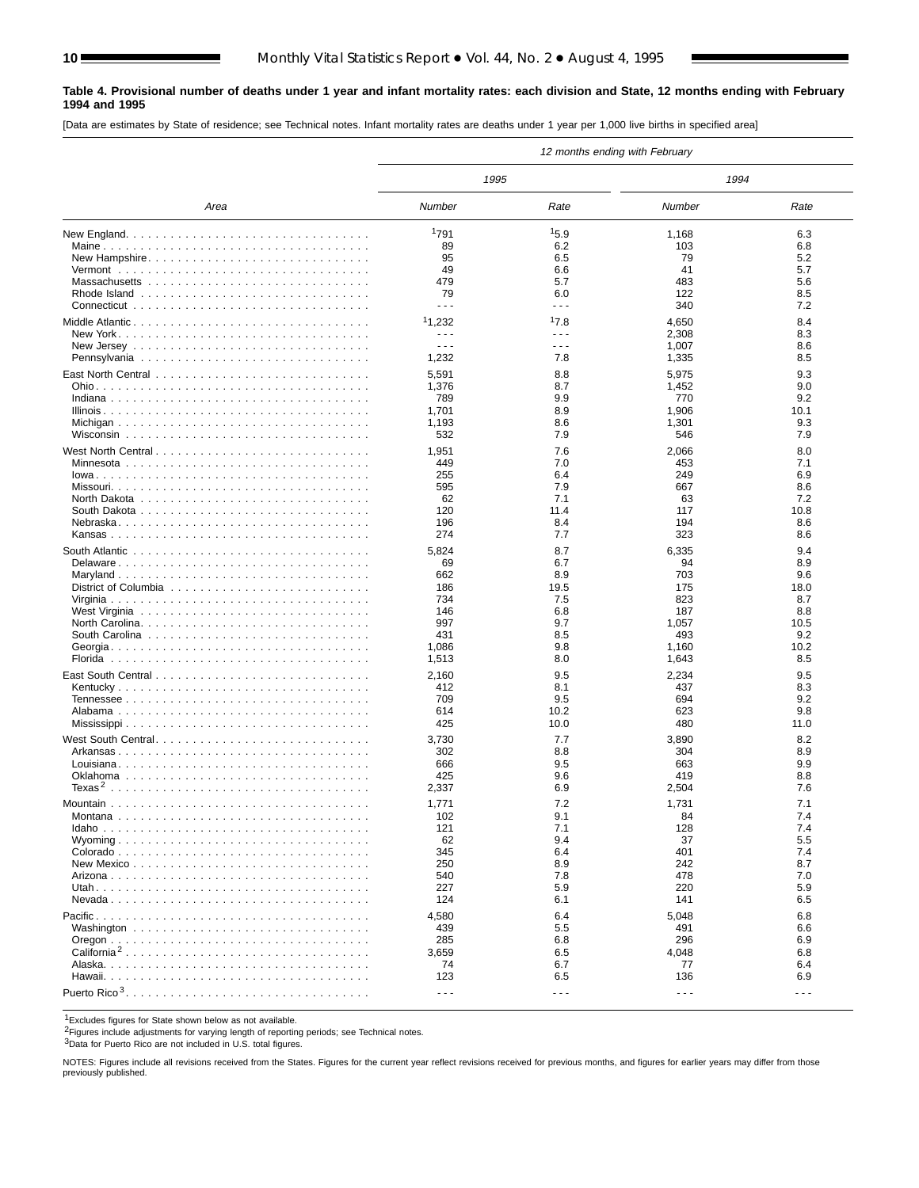#### **Table 4. Provisional number of deaths under 1 year and infant mortality rates: each division and State, 12 months ending with February 1994 and 1995**

[Data are estimates by State of residence; see Technical notes. Infant mortality rates are deaths under 1 year per 1,000 live births in specified area]

|                                                                                      | 12 months ending with February |         |                      |                      |  |  |  |  |  |
|--------------------------------------------------------------------------------------|--------------------------------|---------|----------------------|----------------------|--|--|--|--|--|
|                                                                                      | 1995                           |         | 1994                 |                      |  |  |  |  |  |
| Area                                                                                 | Number                         | Rate    | Number               | Rate                 |  |  |  |  |  |
|                                                                                      | 1791                           | 15.9    | 1,168                | 6.3                  |  |  |  |  |  |
|                                                                                      | 89                             | 6.2     | 103                  | 6.8                  |  |  |  |  |  |
| New Hampshire                                                                        | 95                             | 6.5     | 79                   | 5.2                  |  |  |  |  |  |
|                                                                                      | 49                             | 6.6     | 41                   | 5.7                  |  |  |  |  |  |
|                                                                                      | 479                            | 5.7     | 483                  | 5.6                  |  |  |  |  |  |
|                                                                                      | 79                             | 6.0     | 122                  | 8.5                  |  |  |  |  |  |
|                                                                                      | $- - -$                        | $- - -$ | 340                  | 7.2                  |  |  |  |  |  |
| Middle Atlantic                                                                      | 11,232                         | 17.8    | 4,650                | 8.4                  |  |  |  |  |  |
|                                                                                      | $\sim$ $\sim$ $\sim$           | - - -   | 2,308                | 8.3                  |  |  |  |  |  |
|                                                                                      | $\sim$ $\sim$ $\sim$           | - - -   | 1,007                | 8.6                  |  |  |  |  |  |
|                                                                                      | 1,232                          | 7.8     | 1,335                | 8.5                  |  |  |  |  |  |
|                                                                                      | 5,591                          | 8.8     | 5,975                | 9.3                  |  |  |  |  |  |
|                                                                                      | 1,376                          | 8.7     | 1,452                | 9.0                  |  |  |  |  |  |
|                                                                                      | 789                            | 9.9     | 770                  | 9.2                  |  |  |  |  |  |
|                                                                                      | 1,701                          | 8.9     | 1,906                | 10.1                 |  |  |  |  |  |
|                                                                                      | 1,193                          | 8.6     | 1,301                | 9.3                  |  |  |  |  |  |
|                                                                                      | 532                            | 7.9     | 546                  | 7.9                  |  |  |  |  |  |
|                                                                                      |                                |         |                      |                      |  |  |  |  |  |
|                                                                                      | 1,951                          | 7.6     | 2,066                | 8.0                  |  |  |  |  |  |
|                                                                                      | 449                            | 7.0     | 453                  | 7.1                  |  |  |  |  |  |
|                                                                                      | 255                            | 6.4     | 249                  | 6.9                  |  |  |  |  |  |
|                                                                                      | 595                            | 7.9     | 667                  | 8.6                  |  |  |  |  |  |
| North Dakota $\ldots \ldots \ldots \ldots \ldots \ldots \ldots \ldots \ldots \ldots$ | 62                             | 7.1     | 63                   | 7.2                  |  |  |  |  |  |
|                                                                                      | 120                            | 11.4    | 117                  | 10.8                 |  |  |  |  |  |
|                                                                                      | 196                            | 8.4     | 194                  | 8.6                  |  |  |  |  |  |
|                                                                                      | 274                            | 7.7     | 323                  | 8.6                  |  |  |  |  |  |
|                                                                                      | 5,824                          | 8.7     | 6,335                | 9.4                  |  |  |  |  |  |
| Delaware                                                                             | 69                             | 6.7     | 94                   | 8.9                  |  |  |  |  |  |
| Maryland                                                                             | 662                            | 8.9     | 703                  | 9.6                  |  |  |  |  |  |
|                                                                                      | 186                            | 19.5    | 175                  | 18.0                 |  |  |  |  |  |
|                                                                                      | 734                            | 7.5     | 823                  | 8.7                  |  |  |  |  |  |
|                                                                                      | 146                            | 6.8     | 187                  | 8.8                  |  |  |  |  |  |
|                                                                                      | 997                            | 9.7     | 1,057                | 10.5                 |  |  |  |  |  |
|                                                                                      | 431                            | 8.5     | 493                  | 9.2                  |  |  |  |  |  |
|                                                                                      | 1,086                          | 9.8     | 1,160                | 10.2                 |  |  |  |  |  |
|                                                                                      | 1,513                          | 8.0     | 1,643                | 8.5                  |  |  |  |  |  |
|                                                                                      | 2,160                          | 9.5     | 2,234                | 9.5                  |  |  |  |  |  |
| Kentucky                                                                             | 412                            | 8.1     | 437                  | 8.3                  |  |  |  |  |  |
|                                                                                      | 709                            | 9.5     | 694                  | 9.2                  |  |  |  |  |  |
|                                                                                      | 614                            | 10.2    | 623                  | 9.8                  |  |  |  |  |  |
|                                                                                      | 425                            | 10.0    | 480                  | 11.0                 |  |  |  |  |  |
| West South Central                                                                   | 3,730                          | 7.7     | 3,890                | 8.2                  |  |  |  |  |  |
|                                                                                      | 302                            | 8.8     | 304                  | 8.9                  |  |  |  |  |  |
|                                                                                      | 666                            | 9.5     | 663                  | 9.9                  |  |  |  |  |  |
|                                                                                      | 425                            | 9.6     | 419                  | 8.8                  |  |  |  |  |  |
|                                                                                      | 2,337                          | 6.9     | 2,504                | 7.6                  |  |  |  |  |  |
|                                                                                      | 1,771                          | 7.2     | 1,731                | 7.1                  |  |  |  |  |  |
|                                                                                      | 102                            | 9.1     | 84                   | $\sqrt{4}$           |  |  |  |  |  |
|                                                                                      | 121                            | 7.1     | 128                  | 7.4                  |  |  |  |  |  |
|                                                                                      | 62                             | 9.4     | 37                   | 5.5                  |  |  |  |  |  |
|                                                                                      | 345                            | 6.4     | 401                  | 7.4                  |  |  |  |  |  |
|                                                                                      | 250                            | 8.9     | 242                  | 8.7                  |  |  |  |  |  |
|                                                                                      | 540                            | 7.8     | 478                  | 7.0                  |  |  |  |  |  |
|                                                                                      | 227                            | 5.9     | 220                  | 5.9                  |  |  |  |  |  |
|                                                                                      | 124                            | 6.1     | 141                  | 6.5                  |  |  |  |  |  |
|                                                                                      | 4,580                          | 6.4     |                      | 6.8                  |  |  |  |  |  |
|                                                                                      | 439                            | 5.5     | 5,048<br>491         | 6.6                  |  |  |  |  |  |
|                                                                                      | 285                            | 6.8     | 296                  | 6.9                  |  |  |  |  |  |
| California <sup>2</sup>                                                              | 3,659                          | 6.5     | 4,048                | 6.8                  |  |  |  |  |  |
|                                                                                      | 74                             | 6.7     | 77                   | 6.4                  |  |  |  |  |  |
|                                                                                      | 123                            | 6.5     | 136                  | 6.9                  |  |  |  |  |  |
|                                                                                      |                                |         |                      |                      |  |  |  |  |  |
| Puerto Rico <sup>3</sup>                                                             | $\sim$ $\sim$ $\sim$           | - - -   | $\sim$ $\sim$ $\sim$ | $\sim$ $\sim$ $\sim$ |  |  |  |  |  |

1Excludes figures for State shown below as not available.

2Figures include adjustments for varying length of reporting periods; see Technical notes.

3Data for Puerto Rico are not included in U.S. total figures.

NOTES: Figures include all revisions received from the States. Figures for the current year reflect revisions received for previous months, and figures for earlier years may differ from those previously published.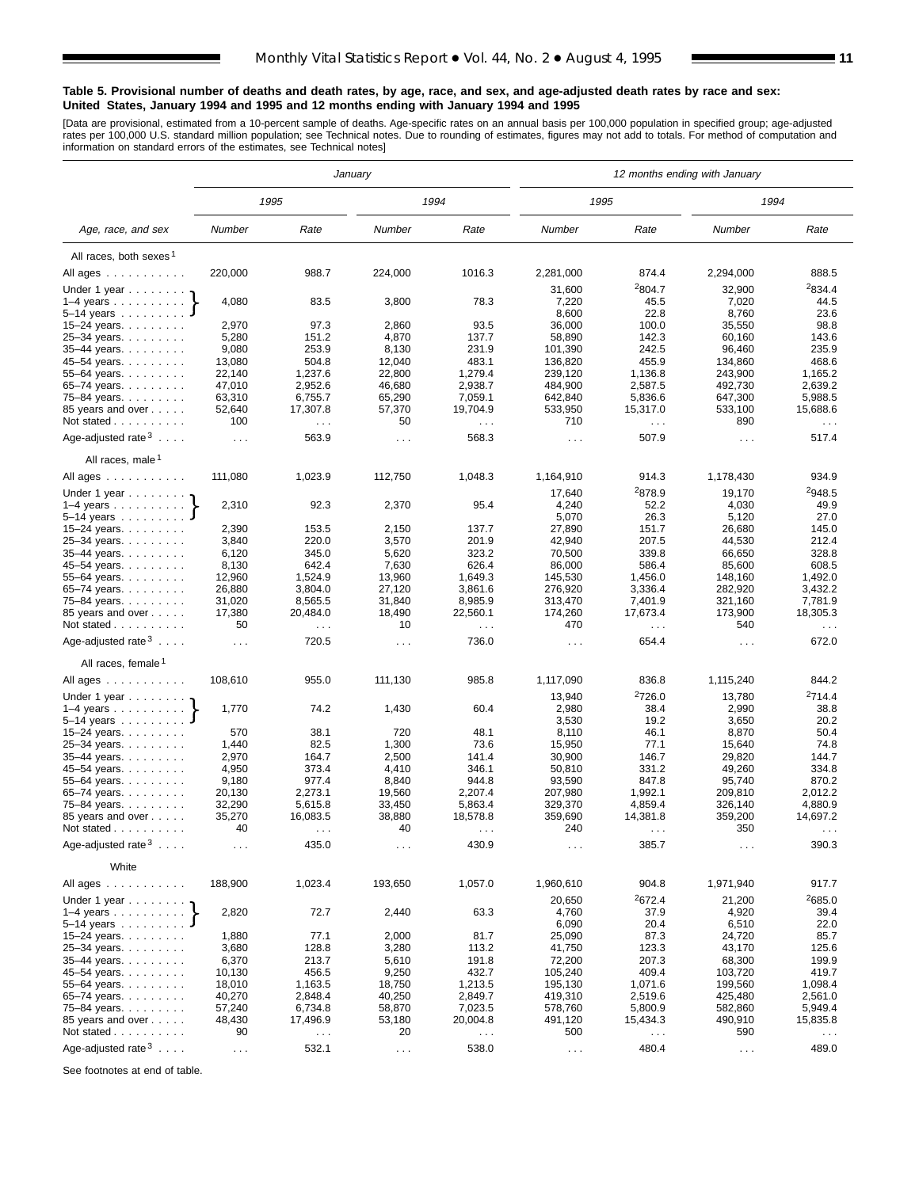#### **Table 5. Provisional number of deaths and death rates, by age, race, and sex, and age-adjusted death rates by race and sex: United States, January 1994 and 1995 and 12 months ending with January 1994 and 1995**

[Data are provisional, estimated from a 10-percent sample of deaths. Age-specific rates on an annual basis per 100,000 population in specified group; age-adjusted<br>rates per 100,000 U.S. standard million population; see Tec

|                                          |                      | 12 months ending with January<br>January |                      |                           |                      |                      |                      |                      |
|------------------------------------------|----------------------|------------------------------------------|----------------------|---------------------------|----------------------|----------------------|----------------------|----------------------|
|                                          |                      | 1995                                     |                      | 1994                      | 1995                 |                      | 1994                 |                      |
| Age, race, and sex                       | Number               | Rate                                     | Number               | Rate                      | Number               | Rate                 | Number               | Rate                 |
| All races, both sexes <sup>1</sup>       |                      |                                          |                      |                           |                      |                      |                      |                      |
| All ages                                 | 220,000              | 988.7                                    | 224,000              | 1016.3                    | 2,281,000            | 874.4                | 2,294,000            | 888.5                |
| Under 1 year                             |                      |                                          |                      |                           | 31,600               | <sup>2</sup> 804.7   | 32,900               | <sup>2</sup> 834.4   |
| $1-4$ years $\ldots$ $\ldots$ $\ldots$ . | 4,080                | 83.5                                     | 3,800                | 78.3                      | 7,220                | 45.5                 | 7,020                | 44.5                 |
| $5-14$ years $\ldots$                    |                      |                                          |                      |                           | 8,600                | 22.8                 | 8,760                | 23.6                 |
| 15-24 years.                             | 2,970                | 97.3                                     | 2,860                | 93.5                      | 36,000               | 100.0                | 35,550               | 98.8                 |
| 25-34 years.                             | 5,280                | 151.2                                    | 4,870                | 137.7                     | 58,890               | 142.3                | 60,160               | 143.6                |
| 35-44 years.                             | 9,080                | 253.9                                    | 8,130                | 231.9                     | 101,390              | 242.5                | 96,460               | 235.9                |
| 45-54 years.                             | 13,080               | 504.8                                    | 12,040               | 483.1                     | 136,820              | 455.9                | 134,860              | 468.6                |
| 55-64 years.                             | 22,140               | 1,237.6                                  | 22,800               | 1,279.4                   | 239,120              | 1,136.8              | 243,900              | 1,165.2              |
| 65-74 years. $\ldots$<br>75-84 years.    | 47,010<br>63,310     | 2,952.6<br>6,755.7                       | 46,680<br>65,290     | 2,938.7<br>7,059.1        | 484,900<br>642,840   | 2,587.5<br>5,836.6   | 492,730<br>647,300   | 2,639.2<br>5,988.5   |
| 85 years and over                        | 52,640               | 17,307.8                                 | 57,370               | 19,704.9                  | 533,950              | 15,317.0             | 533,100              | 15,688.6             |
| Not stated                               | 100                  | $\sim$ $\sim$                            | 50                   | $\sim 100$                | 710                  | $\sim$ .             | 890                  | $\sim$ $\sim$ $\sim$ |
| Age-adjusted rate $3 \ldots$ .           | $\sim 10$ .          | 563.9                                    | $\sim$ $\sim$ $\sim$ | 568.3                     | $\sim$ $\sim$ $\sim$ | 507.9                | $\sim$ $\sim$ $\sim$ | 517.4                |
| All races, male <sup>1</sup>             |                      |                                          |                      |                           |                      |                      |                      |                      |
| All ages $\dots$ $\dots$ $\dots$ $\dots$ | 111,080              | 1,023.9                                  | 112,750              | 1,048.3                   | 1,164,910            | 914.3                | 1,178,430            | 934.9                |
| Under 1 year $\ldots \ldots$             |                      |                                          |                      |                           | 17,640               | <sup>2</sup> 878.9   | 19,170               | 2948.5               |
| $1-4$ years                              | 2,310                | 92.3                                     | 2,370                | 95.4                      | 4,240<br>5,070       | 52.2<br>26.3         | 4,030                | 49.9<br>27.0         |
| 5-14 years<br>15–24 years. $\ldots$      | 2,390                | 153.5                                    | 2,150                | 137.7                     | 27,890               | 151.7                | 5,120<br>26,680      | 145.0                |
| 25-34 years.                             | 3,840                | 220.0                                    | 3,570                | 201.9                     | 42,940               | 207.5                | 44,530               | 212.4                |
| 35-44 years.                             | 6,120                | 345.0                                    | 5,620                | 323.2                     | 70,500               | 339.8                | 66,650               | 328.8                |
| 45-54 years.                             | 8,130                | 642.4                                    | 7,630                | 626.4                     | 86,000               | 586.4                | 85,600               | 608.5                |
| 55-64 years.                             | 12,960               | 1,524.9                                  | 13,960               | 1,649.3                   | 145,530              | 1,456.0              | 148,160              | 1,492.0              |
| 65-74 years.                             | 26,880               | 3,804.0                                  | 27,120               | 3,861.6                   | 276,920              | 3,336.4              | 282,920              | 3,432.2              |
| 75–84 years.                             | 31,020               | 8,565.5                                  | 31,840               | 8,985.9                   | 313,470              | 7,401.9              | 321,160              | 7,781.9              |
| 85 years and over<br>Not stated          | 17,380<br>50         | 20,484.0<br>$\sim$ .                     | 18,490<br>10         | 22,560.1<br>$\sim$ $\sim$ | 174,260<br>470       | 17,673.4<br>$\sim$ . | 173,900<br>540       | 18,305.3<br>$\sim$ . |
| Age-adjusted rate $3 \ldots$ .           | $\sim 10$ .          | 720.5                                    | $\cdots$             | 736.0                     | $\sim$ $\sim$ $\sim$ | 654.4                | $\sim$ $\sim$ $\sim$ | 672.0                |
| All races, female 1                      |                      |                                          |                      |                           |                      |                      |                      |                      |
| All ages                                 | 108,610              | 955.0                                    | 111,130              | 985.8                     | 1,117,090            | 836.8                | 1,115,240            | 844.2                |
| Under 1 year                             |                      |                                          |                      |                           | 13,940               | <sup>2</sup> 726.0   | 13,780               | <sup>2</sup> 714.4   |
| $1-4$ years                              | 1,770                | 74.2                                     | 1,430                | 60.4                      | 2,980                | 38.4                 | 2,990                | 38.8                 |
| 5–14 years $\ldots$                      |                      |                                          |                      |                           | 3,530                | 19.2                 | 3,650                | 20.2                 |
| 15-24 years.                             | 570                  | 38.1                                     | 720                  | 48.1                      | 8,110                | 46.1                 | 8,870                | 50.4                 |
| 25-34 years.                             | 1,440                | 82.5                                     | 1,300                | 73.6                      | 15,950               | 77.1                 | 15,640               | 74.8                 |
| 35-44 years.<br>45-54 years.             | 2,970<br>4,950       | 164.7<br>373.4                           | 2,500<br>4,410       | 141.4<br>346.1            | 30,900<br>50,810     | 146.7<br>331.2       | 29,820<br>49,260     | 144.7<br>334.8       |
| 55-64 years.                             | 9,180                | 977.4                                    | 8,840                | 944.8                     | 93,590               | 847.8                | 95,740               | 870.2                |
| 65-74 years.                             | 20,130               | 2,273.1                                  | 19,560               | 2,207.4                   | 207,980              | 1,992.1              | 209,810              | 2,012.2              |
| 75-84 years.                             | 32,290               | 5,615.8                                  | 33,450               | 5,863.4                   | 329,370              | 4,859.4              | 326,140              | 4,880.9              |
| 85 years and over                        | 35,270               | 16,083.5                                 | 38,880               | 18,578.8                  | 359,690              | 14,381.8             | 359,200              | 14,697.2             |
| Not stated                               | 40                   | $\sim$ $\sim$ $\sim$                     | 40                   | $\sim$ $\sim$             | 240                  | $\sim$ $\sim$        | 350                  | $\sim$ $\sim$        |
| Age-adjusted rate $3 \ldots$ .           | $\sim$ $\sim$ $\sim$ | 435.0                                    | $\sim$ $\sim$ $\sim$ | 430.9                     | $\sim$ $\sim$        | 385.7                | $\sim$ $\sim$        | 390.3                |
| White                                    |                      |                                          |                      |                           |                      |                      |                      |                      |
| All ages                                 | 188,900              | 1,023.4                                  | 193,650              | 1,057.0                   | 1,960,610            | 904.8<br>2672.4      | 1,971,940            | 917.7                |
|                                          | 2,820                | 72.7                                     | 2,440                | 63.3                      | 20,650<br>4,760      | 37.9                 | 21,200<br>4,920      | 2685.0<br>39.4       |
| 5–14 years $\ldots$                      |                      |                                          |                      |                           | 6,090                | 20.4                 | 6,510                | 22.0                 |
| 15-24 years.                             | 1,880                | 77.1                                     | 2,000                | 81.7                      | 25,090               | 87.3                 | 24,720               | 85.7                 |
| 25-34 years.<br>35-44 years.             | 3,680<br>6,370       | 128.8<br>213.7                           | 3,280<br>5,610       | 113.2<br>191.8            | 41,750<br>72,200     | 123.3<br>207.3       | 43,170<br>68,300     | 125.6<br>199.9       |
| 45-54 years.                             | 10,130               | 456.5                                    | 9,250                | 432.7                     | 105,240              | 409.4                | 103,720              | 419.7                |
| 55–64 years. $\ldots$                    | 18,010               | 1,163.5                                  | 18,750               | 1,213.5                   | 195,130              | 1,071.6              | 199,560              | 1,098.4              |
| 65-74 years.                             | 40,270               | 2,848.4                                  | 40,250               | 2,849.7                   | 419,310              | 2,519.6              | 425,480              | 2,561.0              |
| 75-84 years.                             | 57,240               | 6,734.8                                  | 58,870               | 7,023.5                   | 578,760              | 5,800.9              | 582,860              | 5,949.4              |
| 85 years and over                        | 48,430               | 17,496.9                                 | 53,180               | 20,004.8                  | 491,120              | 15,434.3             | 490,910              | 15,835.8             |
| Not stated $\ldots$                      | 90                   | $\sim$ $\sim$ $\sim$                     | 20                   | $\sim$ $\sim$ $\sim$      | 500                  | $\sim$ $\sim$        | 590                  | $\sim$ $\sim$ $\sim$ |
| Age-adjusted rate $3 \ldots$ .           | $\sim 100$           | 532.1                                    | $\sim$ $\sim$        | 538.0                     | $\sim$               | 480.4                | $\sim 100$           | 489.0                |

See footnotes at end of table.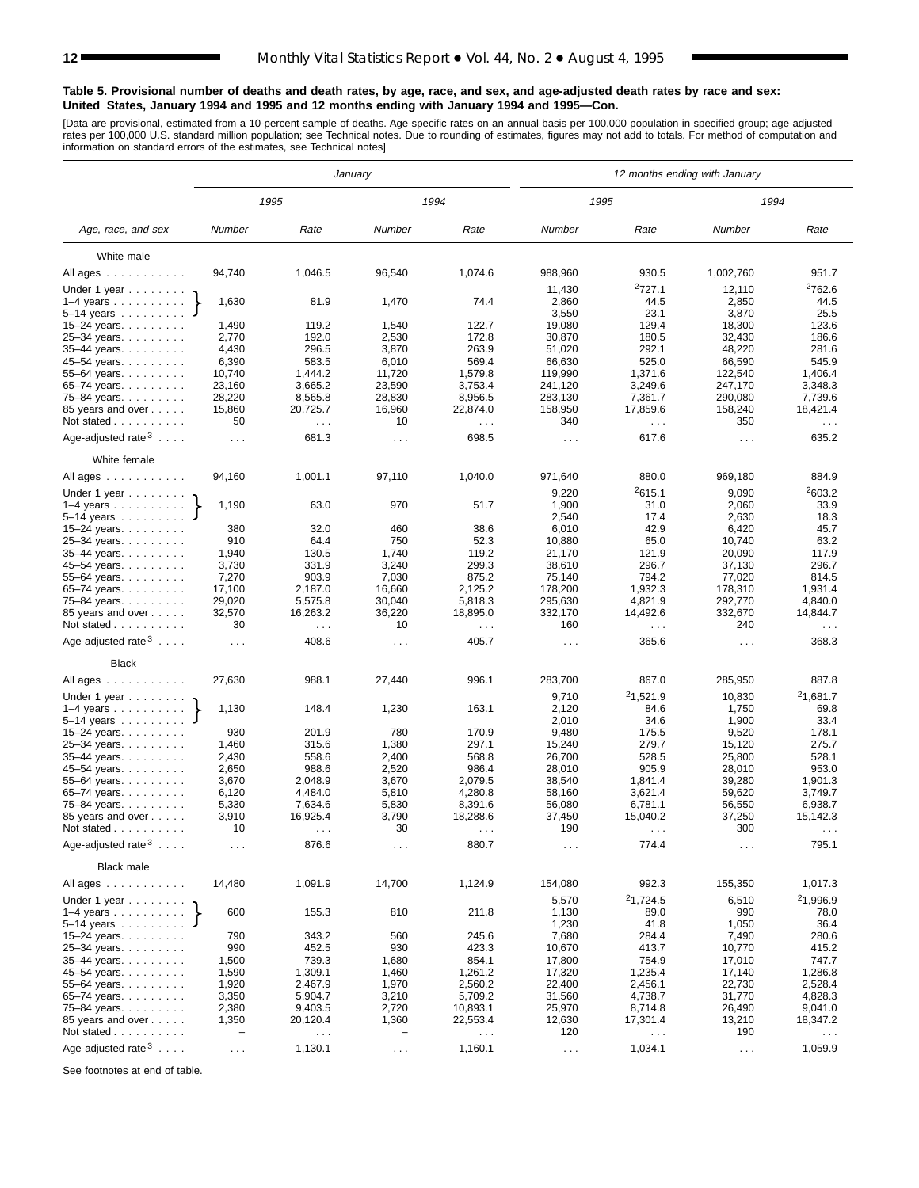#### **Table 5. Provisional number of deaths and death rates, by age, race, and sex, and age-adjusted death rates by race and sex: United States, January 1994 and 1995 and 12 months ending with January 1994 and 1995—Con.**

[Data are provisional, estimated from a 10-percent sample of deaths. Age-specific rates on an annual basis per 100,000 population in specified group; age-adjusted<br>rates per 100,000 U.S. standard million population; see Tec

|                                          |                          |                               | January              |                      |                      |                               | 12 months ending with January |                               |
|------------------------------------------|--------------------------|-------------------------------|----------------------|----------------------|----------------------|-------------------------------|-------------------------------|-------------------------------|
|                                          |                          | 1995                          |                      | 1994                 |                      | 1995                          | 1994                          |                               |
| Age, race, and sex                       | Number                   | Rate                          | Number               | Rate                 | Number               | Rate                          | Number                        | Rate                          |
| White male                               |                          |                               |                      |                      |                      |                               |                               |                               |
| All ages                                 | 94,740                   | 1,046.5                       | 96,540               | 1,074.6              | 988,960              | 930.5                         | 1,002,760                     | 951.7                         |
| Under 1 year                             |                          |                               |                      |                      | 11,430               | 2727.1                        | 12,110                        | <sup>2</sup> 762.6            |
| $1-4$ years                              | 1,630                    | 81.9                          | 1,470                | 74.4                 | 2,860                | 44.5                          | 2,850                         | 44.5                          |
| $5-14$ years $\ldots$                    |                          |                               |                      |                      | 3,550                | 23.1                          | 3,870                         | 25.5                          |
| 15-24 years.                             | 1,490                    | 119.2                         | 1,540                | 122.7                | 19,080               | 129.4                         | 18,300                        | 123.6                         |
| 25-34 years.                             | 2,770                    | 192.0                         | 2,530                | 172.8                | 30,870               | 180.5                         | 32,430                        | 186.6                         |
| $35 - 44$ years.                         | 4,430                    | 296.5                         | 3,870                | 263.9                | 51,020               | 292.1                         | 48,220                        | 281.6                         |
| 45–54 years.                             | 6,390                    | 583.5                         | 6,010                | 569.4                | 66,630               | 525.0                         | 66,590                        | 545.9                         |
| 55-64 years.                             | 10,740                   | 1,444.2                       | 11,720               | 1,579.8              | 119,990              | 1.371.6                       | 122,540                       | 1,406.4                       |
| 65–74 years. $\ldots$                    | 23,160                   | 3,665.2                       | 23,590               | 3,753.4              | 241,120              | 3,249.6                       | 247,170                       | 3,348.3                       |
| 75-84 years.<br>85 years and over        | 28,220<br>15,860         | 8,565.8<br>20,725.7           | 28,830<br>16,960     | 8,956.5<br>22,874.0  | 283,130<br>158,950   | 7,361.7<br>17,859.6           | 290,080<br>158,240            | 7,739.6<br>18,421.4           |
| Not stated                               | 50                       | $\sim$ $\sim$ $\sim$          | 10                   | $\sim$ $\sim$ $\sim$ | 340                  | $\sim$ .                      | 350                           | $\sim$ $\sim$ $\sim$          |
| Age-adjusted rate $3 \ldots$ .           | $\cdots$                 | 681.3                         | $\sim$ $\sim$        | 698.5                | $\sim$ $\sim$ $\sim$ | 617.6                         | $\sim$ $\sim$ $\sim$          | 635.2                         |
| White female                             |                          |                               |                      |                      |                      |                               |                               |                               |
| All ages                                 | 94,160                   | 1,001.1                       | 97,110               | 1,040.0              | 971,640              | 880.0                         | 969,180                       | 884.9                         |
| Under 1 year $\ldots \ldots$             |                          |                               |                      |                      | 9,220                | 2615.1                        | 9,090                         | 2603.2                        |
| $1-4$ years $\ldots$ $\ldots$ $\ldots$ . | 1,190                    | 63.0                          | 970                  | 51.7                 | 1,900                | 31.0                          | 2,060                         | 33.9                          |
| $5 - 14$ years                           |                          |                               |                      |                      | 2,540                | 17.4                          | 2,630                         | 18.3                          |
| 15-24 years.                             | 380                      | 32.0                          | 460                  | 38.6                 | 6,010                | 42.9                          | 6,420                         | 45.7                          |
| 25-34 years.                             | 910                      | 64.4                          | 750                  | 52.3                 | 10,880               | 65.0                          | 10,740                        | 63.2                          |
| 35-44 years.                             | 1,940                    | 130.5                         | 1,740                | 119.2                | 21,170               | 121.9                         | 20,090                        | 117.9                         |
| 45-54 years.                             | 3,730                    | 331.9                         | 3,240                | 299.3                | 38,610               | 296.7                         | 37,130                        | 296.7                         |
| 55-64 years.                             | 7,270                    | 903.9                         | 7,030                | 875.2                | 75,140               | 794.2                         | 77,020                        | 814.5                         |
| 65-74 years.                             | 17,100                   | 2,187.0                       | 16,660               | 2,125.2              | 178,200              | 1,932.3                       | 178,310                       | 1,931.4                       |
| 75–84 years.                             | 29,020<br>32,570         | 5,575.8<br>16,263.2           | 30,040<br>36,220     | 5,818.3<br>18,895.0  | 295,630<br>332,170   | 4,821.9<br>14,492.6           | 292,770<br>332,670            | 4,840.0<br>14,844.7           |
| 85 years and over<br>Not stated $\ldots$ | 30                       | $\sim$ $\sim$                 | 10                   | $\sim$ $\sim$        | 160                  | $\sim$ .                      | 240                           | $\sim$ $\sim$ $\sim$          |
| Age-adjusted rate $3 \ldots$ .           | $\sim 10$ .              | 408.6                         | $\cdots$             | 405.7                | $\sim$ $\sim$ $\sim$ | 365.6                         | $\sim 100$                    | 368.3                         |
| <b>Black</b>                             |                          |                               |                      |                      |                      |                               |                               |                               |
| All ages                                 | 27,630                   | 988.1                         | 27,440               | 996.1                | 283,700              | 867.0                         | 285,950                       | 887.8                         |
| Under 1 year                             |                          |                               |                      |                      | 9,710                | <sup>2</sup> 1,521.9          | 10,830                        | <sup>2</sup> 1,681.7          |
| $1-4$ years                              | 1,130                    | 148.4                         | 1,230                | 163.1                | 2,120                | 84.6                          | 1,750                         | 69.8                          |
| $5 - 14$ years                           |                          |                               |                      |                      | 2,010                | 34.6                          | 1,900                         | 33.4                          |
| 15–24 years. $\ldots$                    | 930                      | 201.9                         | 780                  | 170.9                | 9,480                | 175.5                         | 9,520                         | 178.1                         |
| 25-34 years.                             | 1,460                    | 315.6                         | 1,380                | 297.1                | 15,240               | 279.7                         | 15,120                        | 275.7                         |
| 35-44 years.                             | 2,430                    | 558.6                         | 2,400                | 568.8                | 26,700               | 528.5                         | 25,800                        | 528.1                         |
| 45-54 years.                             | 2,650                    | 988.6                         | 2,520                | 986.4                | 28,010               | 905.9                         | 28,010                        | 953.0                         |
| 55–64 years.                             | 3,670                    | 2,048.9                       | 3,670                | 2,079.5              | 38,540               | 1,841.4                       | 39,280                        | 1,901.3                       |
| 65-74 years.                             | 6,120                    | 4,484.0                       | 5,810                | 4,280.8              | 58,160               | 3.621.4                       | 59,620                        | 3,749.7                       |
| 75-84 years.                             | 5,330                    | 7,634.6                       | 5,830                | 8,391.6              | 56,080               | 6,781.1                       | 56,550                        | 6,938.7<br>15,142.3           |
| 85 years and over<br>Not stated          | 3,910<br>10              | 16,925.4                      | 3,790<br>30          | 18,288.6             | 37,450<br>190        | 15,040.2                      | 37,250<br>300                 |                               |
| Age-adjusted rate $3 \ldots$ .           |                          | $\sim$ $\sim$ $\sim$<br>876.6 | $\sim$ $\sim$        | $\cdots$<br>880.7    | $\sim$ $\sim$ $\sim$ | $\sim$ $\sim$ $\sim$<br>774.4 | $\sim$ $\sim$                 | $\sim$ $\sim$ $\sim$<br>795.1 |
| <b>Black male</b>                        |                          |                               |                      |                      |                      |                               |                               |                               |
| All ages                                 | 14,480                   | 1,091.9                       | 14,700               | 1,124.9              | 154,080              | 992.3                         | 155,350                       | 1,017.3                       |
| Under 1 year                             |                          |                               |                      |                      | 5,570                | <sup>2</sup> 1,724.5          | 6,510                         | <sup>2</sup> 1,996.9          |
| $1-4$ years $\ldots$ $\ldots$ $\ldots$ . | 600                      | 155.3                         | 810                  | 211.8                | 1,130                | 89.0                          | 990                           | 78.0                          |
| $5 - 14$ years<br>15-24 years. $\ldots$  | 790                      | 343.2                         | 560                  | 245.6                | 1,230<br>7,680       | 41.8<br>284.4                 | 1,050<br>7,490                | 36.4<br>280.6                 |
| 25-34 years.                             | 990                      | 452.5                         | 930                  | 423.3                | 10,670               | 413.7                         | 10,770                        | 415.2                         |
| 35-44 years.                             | 1,500                    | 739.3                         | 1,680                | 854.1                | 17,800               | 754.9                         | 17,010                        | 747.7                         |
| 45-54 years.                             | 1,590                    | 1,309.1                       | 1,460                | 1,261.2              | 17,320               | 1,235.4                       | 17,140                        | 1,286.8                       |
| 55-64 years.                             | 1,920                    | 2,467.9                       | 1,970                | 2,560.2              | 22,400               | 2,456.1                       | 22,730                        | 2,528.4                       |
| 65-74 years.                             | 3,350                    | 5,904.7                       | 3,210                | 5,709.2              | 31,560               | 4,738.7                       | 31,770                        | 4,828.3                       |
| 75-84 years.                             | 2,380                    | 9,403.5                       | 2,720                | 10,893.1             | 25,970               | 8,714.8                       | 26,490                        | 9,041.0                       |
| 85 years and over                        | 1,350                    | 20,120.4                      | 1,360                | 22,553.4             | 12,630               | 17,301.4                      | 13,210                        | 18,347.2                      |
| Not stated                               | $\overline{\phantom{0}}$ | $\sim$ $\sim$                 |                      | $\sim$ $\sim$        | 120                  | $\sim$ .                      | 190                           | $\epsilon \rightarrow \infty$ |
| Age-adjusted rate $3 \ldots$ .           | $\sim 100$               | 1,130.1                       | $\sim$ $\sim$ $\sim$ | 1,160.1              | $\sim$ $\sim$        | 1,034.1                       | $\sim$ $\sim$                 | 1,059.9                       |

See footnotes at end of table.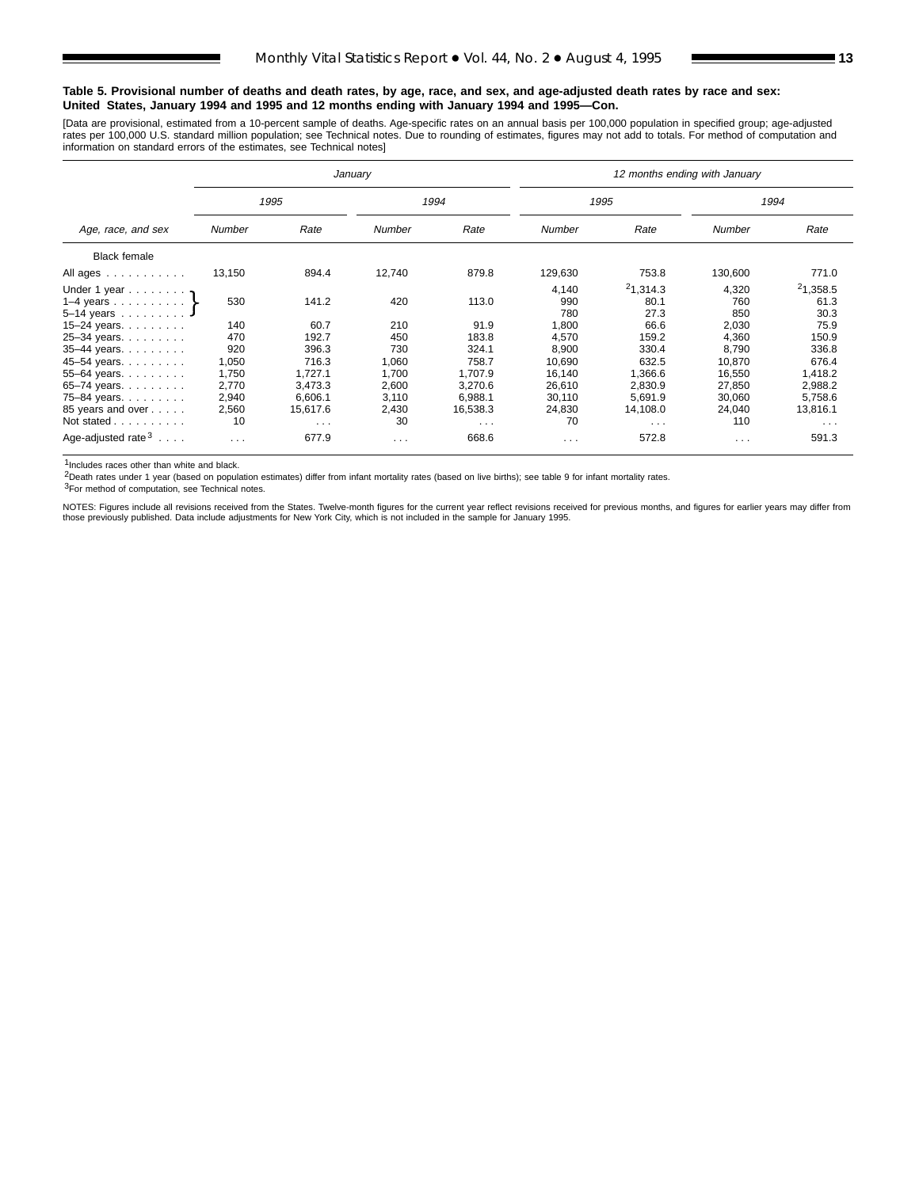#### **Table 5. Provisional number of deaths and death rates, by age, race, and sex, and age-adjusted death rates by race and sex: United States, January 1994 and 1995 and 12 months ending with January 1994 and 1995—Con.**

[Data are provisional, estimated from a 10-percent sample of deaths. Age-specific rates on an annual basis per 100,000 population in specified group; age-adjusted rates per 100,000 U.S. standard million population; see Technical notes. Due to rounding of estimates, figures may not add to totals. For method of computation and<br>information on standard errors of the estimates, see Techn

|                                     |          |                      | January       |          | 12 months ending with January |                      |          |                      |  |  |  |
|-------------------------------------|----------|----------------------|---------------|----------|-------------------------------|----------------------|----------|----------------------|--|--|--|
|                                     |          | 1995                 |               | 1994     |                               | 1995                 |          | 1994                 |  |  |  |
| Age, race, and sex                  | Number   | Rate                 | <b>Number</b> | Rate     | Number                        | Rate                 | Number   | Rate                 |  |  |  |
| <b>Black female</b>                 |          |                      |               |          |                               |                      |          |                      |  |  |  |
| All ages                            | 13,150   | 894.4                | 12,740        | 879.8    | 129,630                       | 753.8                | 130,600  | 771.0                |  |  |  |
| Under 1 year $\eta$                 |          |                      |               |          | 4,140                         | 21,314.3             | 4,320    | 21,358.5             |  |  |  |
| 1–4 years $\ldots$ $\ldots$ $\cdot$ | 530      | 141.2                | 420           | 113.0    | 990                           | 80.1                 | 760      | 61.3                 |  |  |  |
| $5-14$ years                        |          |                      |               |          | 780                           | 27.3                 | 850      | 30.3                 |  |  |  |
| 15-24 years. $\ldots$               | 140      | 60.7                 | 210           | 91.9     | 1,800                         | 66.6                 | 2,030    | 75.9                 |  |  |  |
| 25-34 years.                        | 470      | 192.7                | 450           | 183.8    | 4,570                         | 159.2                | 4,360    | 150.9                |  |  |  |
| 35-44 years.                        | 920      | 396.3                | 730           | 324.1    | 8,900                         | 330.4                | 8,790    | 336.8                |  |  |  |
| 45-54 years.                        | 1,050    | 716.3                | 1,060         | 758.7    | 10,690                        | 632.5                | 10,870   | 676.4                |  |  |  |
| 55-64 years.                        | 1,750    | 1,727.1              | 1,700         | 1,707.9  | 16,140                        | 1,366.6              | 16,550   | 1,418.2              |  |  |  |
| 65-74 years.                        | 2,770    | 3,473.3              | 2,600         | 3,270.6  | 26,610                        | 2,830.9              | 27,850   | 2,988.2              |  |  |  |
| 75-84 years.                        | 2,940    | 6,606.1              | 3,110         | 6,988.1  | 30,110                        | 5,691.9              | 30,060   | 5,758.6              |  |  |  |
| 85 years and over                   | 2,560    | 15,617.6             | 2,430         | 16,538.3 | 24,830                        | 14,108.0             | 24,040   | 13,816.1             |  |  |  |
| Not stated                          | 10       | $\sim$ $\sim$ $\sim$ | 30            | $\cdots$ | 70                            | $\sim$ $\sim$ $\sim$ | 110      | $\sim$ $\sim$ $\sim$ |  |  |  |
| Age-adjusted rate $3 \ldots$ .      | $\cdots$ | 677.9                | $\cdots$      | 668.6    | $\cdots$                      | 572.8                | $\cdots$ | 591.3                |  |  |  |

1Includes races other than white and black.

2Death rates under 1 year (based on population estimates) differ from infant mortality rates (based on live births); see table 9 for infant mortality rates.

3For method of computation, see Technical notes.

NOTES: Figures include all revisions received from the States. Twelve-month figures for the current year reflect revisions received for previous months, and figures for earlier years may differ from those previously published. Data include adjustments for New York City, which is not included in the sample for January 1995.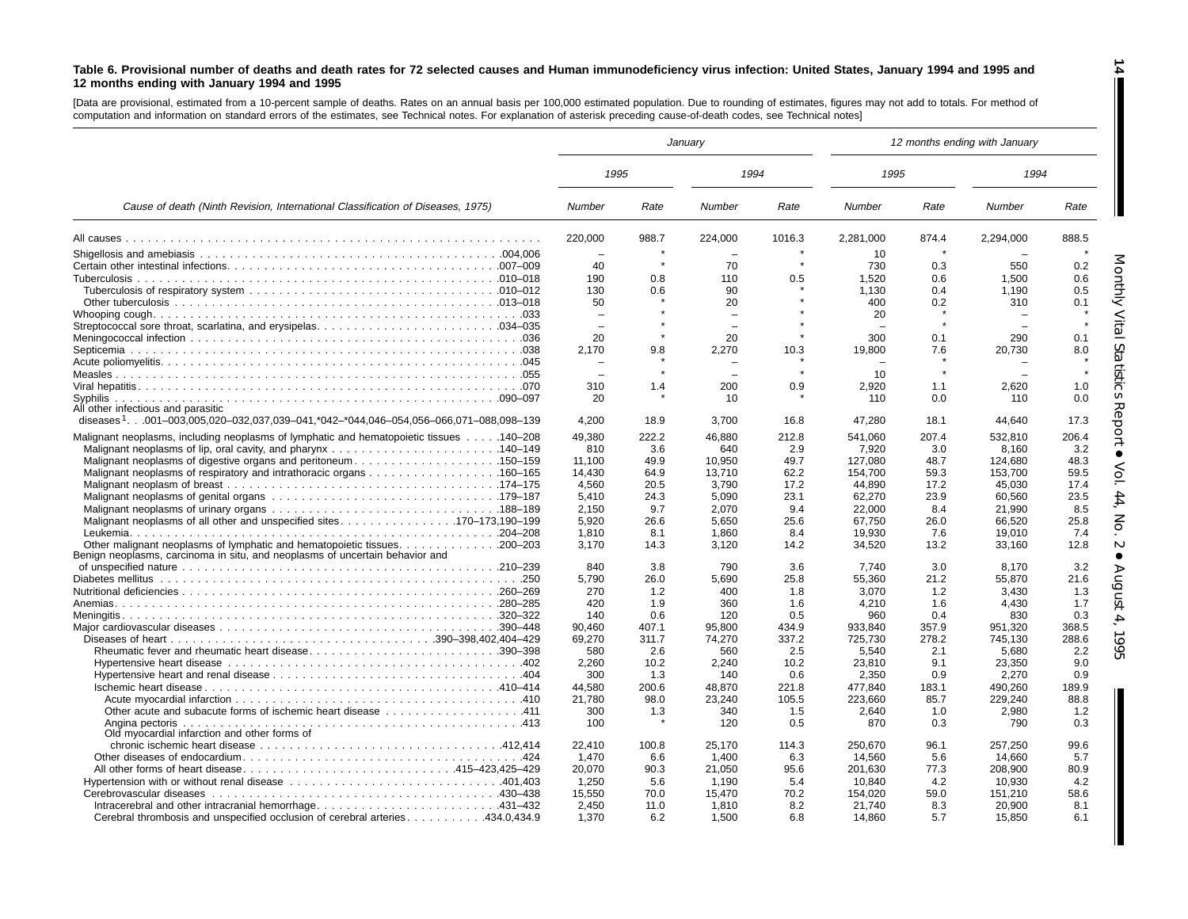#### Table 6. Provisional number of deaths and death rates for 72 selected causes and Human immunodeficiency virus infection: United States, January 1994 and 1995 and **12 months ending with January 1994 and 1995**

[Data are provisional, estimated from <sup>a</sup> 10-percent sample of deaths. Rates on an annual basis per 100,000 estimated population. Due to rounding of estimates, figures may not add to totals. For method of computation and information on standard errors of the estimates, see Technical notes. For explanation of asterisk preceding cause-of-death codes, see Technical notes]

|                                                                                                 |                          |              | January                  |              | 12 months ending with January |              |                  |                |  |
|-------------------------------------------------------------------------------------------------|--------------------------|--------------|--------------------------|--------------|-------------------------------|--------------|------------------|----------------|--|
|                                                                                                 | 1995                     |              | 1994                     |              | 1995                          |              | 1994             |                |  |
| Cause of death (Ninth Revision, International Classification of Diseases, 1975)                 | Number                   | Rate         | Number                   | Rate         | Number                        | Rate         | Number           | Rate           |  |
|                                                                                                 | 220,000                  | 988.7        | 224,000                  | 1016.3       | 2,281,000                     | 874.4        | 2,294,000        | 888.5          |  |
|                                                                                                 | $\equiv$                 |              | $\overline{\phantom{a}}$ |              | 10                            |              |                  |                |  |
|                                                                                                 | 40                       | $\star$      | 70                       |              | 730                           | 0.3          | 550              | 0.2            |  |
|                                                                                                 | 190                      | 0.8          | 110                      | 0.5          | 1,520                         | 0.6          | 1,500            | 0.6            |  |
|                                                                                                 | 130                      | 0.6          | 90                       |              | 1,130                         | 0.4          | 1,190            | 0.5            |  |
|                                                                                                 | 50                       |              | 20                       |              | 400                           | 0.2          | 310              | 0.1            |  |
|                                                                                                 |                          |              | $\equiv$                 |              | 20                            |              |                  |                |  |
|                                                                                                 | $\overline{\phantom{a}}$ |              | $\overline{\phantom{0}}$ |              |                               |              |                  |                |  |
|                                                                                                 | 20                       |              | 20                       |              | 300                           | 0.1          | 290              | 0.1            |  |
|                                                                                                 | 2.170                    | 9.8          | 2,270                    | 10.3         | 19,800                        | 7.6          | 20,730           | 8.0            |  |
|                                                                                                 |                          |              |                          |              |                               |              |                  |                |  |
|                                                                                                 |                          |              | $\overline{\phantom{0}}$ |              | 10                            |              |                  |                |  |
|                                                                                                 | 310                      | 1.4          | 200                      | 0.9          | 2.920                         | 1.1          | 2.620            | 1.0            |  |
| All other infectious and parasitic                                                              | 20                       |              | 10                       |              | 110                           | 0.0          | 110              | 0.0            |  |
| diseases <sup>1</sup> 001–003,005,020–032,037,039–041,*042–*044,046–054,056–066,071–088,098–139 | 4,200                    | 18.9         | 3,700                    | 16.8         | 47,280                        | 18.1         | 44,640           | Report<br>17.3 |  |
|                                                                                                 |                          |              |                          |              |                               |              |                  |                |  |
| Malignant neoplasms, including neoplasms of lymphatic and hematopoietic tissues 140–208         | 49,380                   | 222.2        | 46,880                   | 212.8        | 541,060                       | 207.4        | 532,810          | 206.4          |  |
|                                                                                                 | 810                      | 3.6          | 640                      | 2.9          | 7,920                         | 3.0          | 8,160            | 3.2            |  |
| Malignant neoplasms of digestive organs and peritoneum150–159                                   | 11.100                   | 49.9         | 10.950                   | 49.7         | 127.080                       | 48.7         | 124.680          | 48.3<br>59.5   |  |
|                                                                                                 | 14,430                   | 64.9         | 13,710                   | 62.2         | 154,700                       | 59.3         | 153,700          |                |  |
|                                                                                                 | 4,560<br>5.410           | 20.5<br>24.3 | 3,790<br>5.090           | 17.2<br>23.1 | 44,890<br>62,270              | 17.2<br>23.9 | 45,030<br>60.560 | 17.4<br>23.5   |  |
|                                                                                                 | 2,150                    | 9.7          | 2,070                    | 9.4          | 22,000                        | 8.4          | 21,990           | 8.5            |  |
|                                                                                                 | 5,920                    | 26.6         | 5,650                    | 25.6         | 67,750                        | 26.0         | 66,520           | 25.8           |  |
|                                                                                                 | 1.810                    | 8.1          | 1.860                    | 8.4          | 19.930                        | 7.6          | 19.010           | 7.4            |  |
|                                                                                                 | 3.170                    | 14.3         | 3,120                    | 14.2         | 34,520                        | 13.2         | 33,160           | 12.8           |  |
| Benign neoplasms, carcinoma in situ, and neoplasms of uncertain behavior and                    |                          |              |                          |              |                               |              |                  |                |  |
|                                                                                                 | 840                      | 3.8          | 790                      | 3.6          | 7.740                         | 3.0          | 8.170            | 3.2            |  |
|                                                                                                 | 5,790                    | 26.0         | 5,690                    | 25.8         | 55,360                        | 21.2         | 55,870           | 21.6           |  |
|                                                                                                 | 270                      | 1.2          | 400                      | 1.8          | 3,070                         | 1.2          | 3,430            | 1.3            |  |
|                                                                                                 | 420                      | 1.9          | 360                      | 1.6          | 4,210                         | 1.6          | 4,430            | 1.7            |  |
|                                                                                                 | 140                      | 0.6          | 120                      | 0.5          | 960                           | 0.4          | 830              | 0.3            |  |
|                                                                                                 | 90,460                   | 407.1        | 95,800                   | 434.9        | 933,840                       | 357.9        | 951,320          | 368.5          |  |
|                                                                                                 | 69,270                   | 311.7        | 74,270                   | 337.2        | 725,730                       | 278.2        | 745.130          | 288.6          |  |
| Rheumatic fever and rheumatic heart disease390-398                                              | 580                      | 2.6          | 560                      | 2.5          | 5.540                         | 2.1          | 5.680            | 2.2            |  |
|                                                                                                 | 2,260                    | 10.2         | 2,240                    | 10.2         | 23,810                        | 9.1          | 23,350           | 9.0            |  |
|                                                                                                 | 300                      | 1.3          | 140                      | 0.6          | 2,350                         | 0.9          | 2,270            | 0.9            |  |
|                                                                                                 | 44,580                   | 200.6        | 48,870                   | 221.8        | 477,840                       | 183.1        | 490,260          | 189.9          |  |
|                                                                                                 | 21,780                   | 98.0         | 23,240                   | 105.5        | 223,660                       | 85.7         | 229,240          | 88.8           |  |
|                                                                                                 | 300                      | 1.3          | 340                      | 1.5          | 2,640                         | 1.0          | 2,980            | 1.2            |  |
| Old myocardial infarction and other forms of                                                    | 100                      |              | 120                      | 0.5          | 870                           | 0.3          | 790              | 0.3            |  |
|                                                                                                 | 22,410                   | 100.8        | 25,170                   | 114.3        | 250,670                       | 96.1         | 257,250          | 99.6           |  |
|                                                                                                 | 1,470                    | 6.6          | 1,400                    | 6.3          | 14,560                        | 5.6          | 14,660           | 5.7            |  |
| All other forms of heart disease415–423,425–429                                                 | 20,070                   | 90.3         | 21,050                   | 95.6         | 201,630                       | 77.3         | 208,900          | 80.9           |  |
|                                                                                                 | 1.250                    | 5.6          | 1.190                    | 5.4          | 10.840                        | 4.2          | 10.930           | 4.2            |  |
|                                                                                                 | 15,550                   | 70.0         | 15,470                   | 70.2         | 154,020                       | 59.0         | 151,210          | 58.6           |  |
|                                                                                                 | 2,450                    | 11.0         | 1,810                    | 8.2          | 21,740                        | 8.3          | 20,900           | 8.1            |  |
| Cerebral thrombosis and unspecified occlusion of cerebral arteries434.0,434.9                   | 1,370                    | 6.2          | 1,500                    | 6.8          | 14,860                        | 5.7          | 15,850           | 6.1            |  |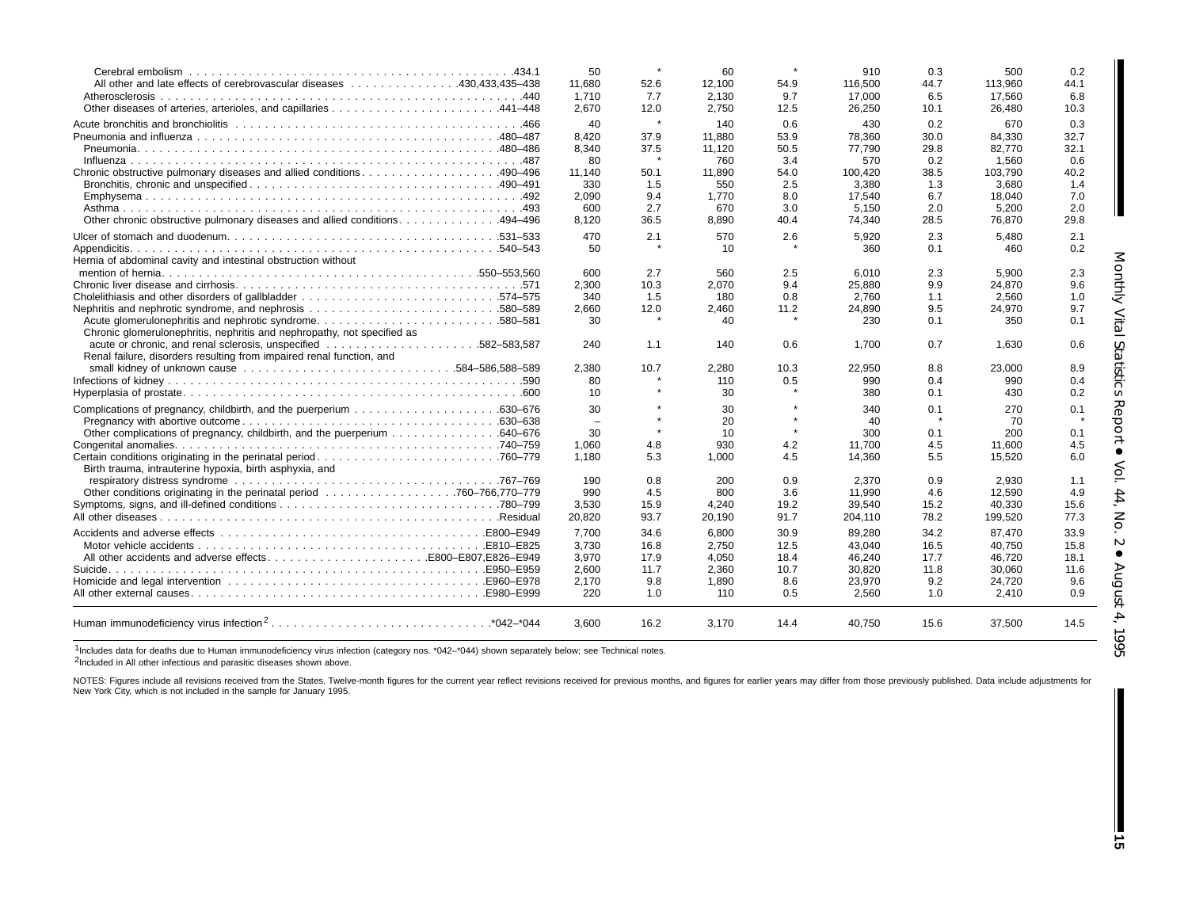| All other and late effects of cerebrovascular diseases 430.433.435–438<br>Atherosclerosis.                                                     | 50<br>11.680<br>1.710<br>2.670 | 52.6<br>7.7<br>12.0 | 60<br>12.100<br>2,130<br>2.750 | 54.9<br>9.7<br>12.5 | 910<br>116.500<br>17,000<br>26,250 | 0.3<br>44.7<br>6.5<br>10.1 | 500<br>113.960<br>17,560<br>26.480 | 0.2<br>44.1<br>6.8<br>10.3 |
|------------------------------------------------------------------------------------------------------------------------------------------------|--------------------------------|---------------------|--------------------------------|---------------------|------------------------------------|----------------------------|------------------------------------|----------------------------|
|                                                                                                                                                |                                |                     |                                |                     |                                    |                            |                                    |                            |
|                                                                                                                                                | 40<br>8.420                    | $\star$<br>37.9     | 140<br>11.880                  | 0.6<br>53.9         | 430<br>78.360                      | 0.2<br>30.0                | 670<br>84.330                      | 0.3<br>32.7                |
|                                                                                                                                                | 8.340                          | 37.5                | 11.120                         | 50.5                | 77.790                             | 29.8                       | 82.770                             | 32.1                       |
|                                                                                                                                                | 80                             |                     | 760                            | 3.4                 | 570                                | 0.2                        | 1.560                              | 0.6                        |
|                                                                                                                                                | 11,140                         | 50.1                | 11,890                         | 54.0                | 100,420                            | 38.5                       | 103,790                            | 40.2                       |
|                                                                                                                                                | 330                            | 1.5                 | 550                            | 2.5                 | 3,380                              | 1.3                        | 3,680                              | 1.4                        |
|                                                                                                                                                | 2,090                          | 9.4                 | 1,770                          | 8.0                 | 17,540                             | 6.7                        | 18,040                             | 7.0                        |
|                                                                                                                                                | 600                            | 2.7                 | 670                            | 3.0                 | 5,150                              | 2.0                        | 5,200                              | 2.0                        |
| Other chronic obstructive pulmonary diseases and allied conditions. 494–496                                                                    | 8,120                          | 36.5                | 8,890                          | 40.4                | 74,340                             | 28.5                       | 76,870                             | 29.8                       |
|                                                                                                                                                | 470                            | 2.1                 | 570                            | 2.6                 | 5.920                              | 2.3                        | 5.480                              | 2.1                        |
|                                                                                                                                                | 50                             |                     | 10                             |                     | 360                                | 0.1                        | 460                                | 0.2                        |
| Hernia of abdominal cavity and intestinal obstruction without                                                                                  |                                |                     |                                |                     |                                    |                            |                                    | Monthly                    |
|                                                                                                                                                | 600                            | 2.7                 | 560                            | 2.5                 | 6.010                              | 2.3                        | 5.900                              | 2.3                        |
|                                                                                                                                                | 2,300                          | 10.3                | 2,070                          | 9.4                 | 25,880                             | 9.9                        | 24,870                             | 9.6                        |
|                                                                                                                                                | 340                            | 1.5                 | 180                            | 0.8                 | 2.760                              | 1.1                        | 2.560                              | 1.0                        |
|                                                                                                                                                | 2,660                          | 12.0                | 2,460                          | 11.2                | 24,890                             | 9.5                        | 24,970                             | 9.7                        |
| Chronic glomerulonephritis, nephritis and nephropathy, not specified as                                                                        | 30                             |                     | 40                             |                     | 230                                | 0.1                        | 350                                | 0.1                        |
| Renal failure, disorders resulting from impaired renal function, and                                                                           | 240                            | 1.1                 | 140                            | 0.6                 | 1,700                              | 0.7                        | 1.630                              | 0.6                        |
|                                                                                                                                                | 2,380                          | 10.7                | 2,280                          | 10.3                | 22,950                             | 8.8                        | 23,000                             | 8.9                        |
|                                                                                                                                                | 80                             |                     | 110                            | 0.5                 | 990                                | 0.4                        | 990                                | 0.4                        |
|                                                                                                                                                | 10                             |                     | 30                             |                     | 380                                | 0.1                        | 430                                | 0.2                        |
|                                                                                                                                                | 30                             |                     | 30                             |                     | 340                                | 0.1                        | 270                                | Report<br>0.1              |
|                                                                                                                                                | $\equiv$                       |                     | 20                             |                     | 40                                 |                            | 70                                 |                            |
| 040–676. Other complications of pregnancy, childbirth, and the puerperium 640–676                                                              | 30                             |                     | 10                             | $\star$             | 300                                | 0.1                        | 200                                | 0.1                        |
|                                                                                                                                                | 1,060                          | 4.8                 | 930                            | 4.2                 | 11,700                             | 4.5                        | 11,600                             | 4.5                        |
| Birth trauma, intrauterine hypoxia, birth asphyxia, and                                                                                        | 1.180                          | 5.3                 | 1.000                          | 4.5                 | 14,360                             | 5.5                        | 15,520                             | 6.0                        |
|                                                                                                                                                | 190                            | 0.8                 | 200                            | 0.9                 | 2.370                              | 0.9                        | 2.930                              | 1.1                        |
|                                                                                                                                                | 990                            | 4.5                 | 800                            | 3.6                 | 11,990                             | 4.6                        | 12,590                             | $44,$<br>4.9               |
|                                                                                                                                                | 3,530                          | 15.9                | 4.240                          | 19.2                | 39.540                             | 15.2                       | 40,330                             | 15.6                       |
|                                                                                                                                                | 20,820                         | 93.7                | 20,190                         | 91.7                | 204,110                            | 78.2                       | 199,520                            | 77.3                       |
|                                                                                                                                                | 7.700                          | 34.6                | 6,800                          | 30.9                | 89,280                             | 34.2                       | 87,470                             | 33.9                       |
|                                                                                                                                                | 3,730                          | 16.8                | 2,750                          | 12.5                | 43,040                             | 16.5                       | 40,750                             | 15.8                       |
| All other accidents and adverse effectsB800-E807.E826-E949                                                                                     | 3,970                          | 17.9                | 4,050                          | 18.4                | 46,240                             | 17.7                       | 46,720                             | 18.1                       |
|                                                                                                                                                | 2.600                          | 11.7                | 2,360                          | 10.7                | 30,820                             | 11.8                       | 30,060                             | 11.6                       |
|                                                                                                                                                | 2,170                          | 9.8                 | 1,890                          | 8.6                 | 23,970                             | 9.2                        | 24,720                             | 9.6                        |
|                                                                                                                                                | 220                            | 1.0                 | 110                            | 0.5                 | 2,560                              | 1.0                        | 2.410                              | August<br>0.9              |
| Human immunodeficiency virus infection <sup>2</sup> *042-*044                                                                                  | 3.600                          | 16.2                | 3.170                          | 14.4                | 40.750                             | 15.6                       | 37.500                             | 14.5                       |
| 1Includes data for deaths due to Human immunodeficiency virus infection (category nos. *042-*044) shown separately below; see Technical notes. |                                |                     |                                |                     |                                    |                            |                                    |                            |

1Includes data for deaths due to Human immunodeficiency virus infection (category nos. \*042–\*044) shown separately below; see Technical notes. 2Included in All other infectious and parasitic diseases shown above.

NOTES: Figures include all revisions received from the States. Twelve-month figures for the current year reflect revisions received for previous months, and figures for earlier years may differ from those previously publis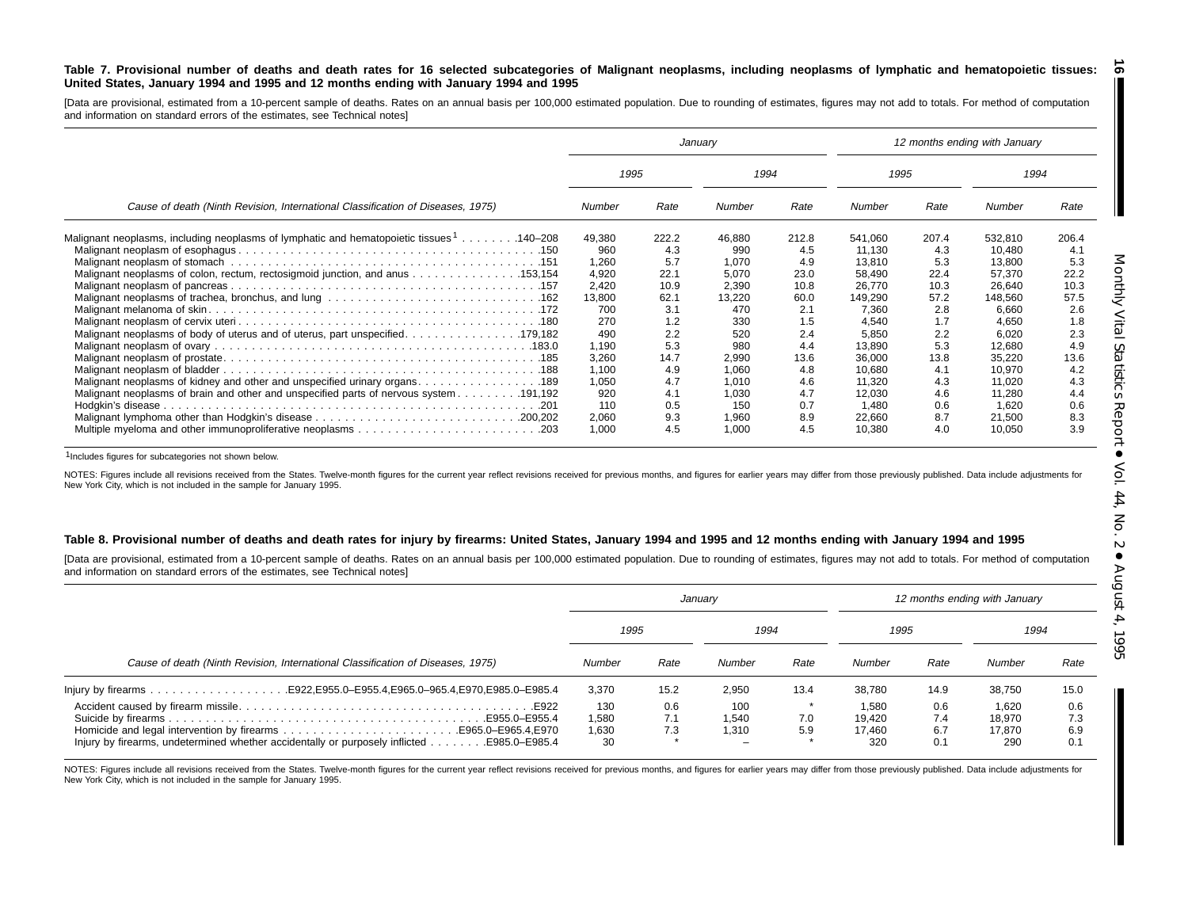#### Table 7. Provisional number of deaths and death rates for 16 selected subcategories of Malignant neoplasms, including neoplasms of lymphatic and hematopoietic tissues: United States, January 1994 and 1995 and 12 months ending with January 1994 and 1995 <u>්ත</u>

[Data are provisional, estimated from a 10-percent sample of deaths. Rates on an annual basis per 100,000 estimated population. Due to rounding of estimates, figures may not add to totals. For method of computation and information on standard errors of the estimates, see Technical notes]

|                                                                                          |        |       | January |       |               |       | 12 months ending with January |       |  |
|------------------------------------------------------------------------------------------|--------|-------|---------|-------|---------------|-------|-------------------------------|-------|--|
|                                                                                          | 1995   |       | 1994    |       | 1995          |       | 1994                          |       |  |
| Cause of death (Ninth Revision, International Classification of Diseases, 1975)          | Number | Rate  | Number  | Rate  | <b>Number</b> | Rate  | Number                        | Rate  |  |
| Malignant neoplasms, including neoplasms of lymphatic and hematopoietic tissues 1140–208 | 49,380 | 222.2 | 46,880  | 212.8 | 541.060       | 207.4 | 532,810                       | 206.4 |  |
|                                                                                          | 960    | 4.3   | 990     | 4.5   | 11,130        | 4.3   | 10,480                        | 4.1   |  |
|                                                                                          | 1,260  | 5.7   | 1.070   | 4.9   | 13.810        | 5.3   | 13,800                        | 5.3   |  |
| Malignant neoplasms of colon, rectum, rectosigmoid junction, and anus 153,154            | 4,920  | 22.1  | 5.070   | 23.0  | 58,490        | 22.4  | 57,370                        | 22.2  |  |
|                                                                                          | 2,420  | 10.9  | 2.390   | 10.8  | 26,770        | 10.3  | 26,640                        | 10.3  |  |
|                                                                                          | 13,800 | 62.1  | 13,220  | 60.0  | 149.290       | 57.2  | 148,560                       | 57.5  |  |
|                                                                                          | 700    | 3.1   | 470     | 2.1   | 7,360         | 2.8   | 6,660                         | 2.6   |  |
|                                                                                          | 270    | 1.2   | 330     | 1.5   | 4.540         | 1.7   | 4,650                         | 1.8   |  |
| Malignant neoplasms of body of uterus and of uterus, part unspecified. 179,182           | 490    | 2.2   | 520     | 2.4   | 5.850         | 2.2   | 6,020                         | 2.3   |  |
|                                                                                          | 1,190  | 5.3   | 980     | 4.4   | 13,890        | 5.3   | 12,680                        | 4.9   |  |
|                                                                                          | 3,260  | 14.7  | 2,990   | 13.6  | 36,000        | 13.8  | 35,220                        | 13.6  |  |
|                                                                                          | 1,100  | 4.9   | 1,060   | 4.8   | 10,680        | 4.1   | 10,970                        | 4.2   |  |
|                                                                                          | 1.050  | 4.7   | 1.010   | 4.6   | 11.320        | 4.3   | 11.020                        | 4.3   |  |
|                                                                                          | 920    | 4.1   | 1,030   | 4.7   | 12,030        | 4.6   | 11,280                        | 4.4   |  |
|                                                                                          | 110    | 0.5   | 150     | 0.7   | 1.480         | 0.6   | 1.620                         | 0.6   |  |
|                                                                                          | 2,060  | 9.3   | 1,960   | 8.9   | 22,660        | 8.7   | 21,500                        | 8.3   |  |
|                                                                                          | 1,000  | 4.5   | 1,000   | 4.5   | 10,380        | 4.0   | 10,050                        | 3.9   |  |

1Includes figures for subcategories not shown below.

NOTES: Figures include all revisions received from the States. Twelve-month figures for the current year reflect revisions received for previous months, and figures for earlier years may differ from those previously publis New York City, which is not included in the sample for January 1995.

#### Table 8. Provisional number of deaths and death rates for injury by firearms: United States, January 1994 and 1995 and 12 months ending with January 1994 and 1995

[Data are provisional, estimated from <sup>a</sup> 10-percent sample of deaths. Rates on an annual basis per 100,000 estimated population. Due to rounding of estimates, figures may not add to totals. For method of computation and information on standard errors of the estimates, see Technical notes]

|                                                                                 |                             |                   | January                                           |                                  |                                  |                          | 12 months ending with January    |                          |
|---------------------------------------------------------------------------------|-----------------------------|-------------------|---------------------------------------------------|----------------------------------|----------------------------------|--------------------------|----------------------------------|--------------------------|
|                                                                                 | 1995                        |                   | 1994                                              |                                  | 1995                             |                          | 1994                             |                          |
| Cause of death (Ninth Revision, International Classification of Diseases, 1975) | Number                      | Rate              | Number                                            | Rate                             | Number                           | Rate                     | Number                           | Rate                     |
|                                                                                 | 3.370                       | 15.2              | 2.950                                             | 13.4                             | 38.780                           | 14.9                     | 38,750                           | 15.0                     |
|                                                                                 | 130<br>1.580<br>1.630<br>30 | 0.6<br>7.1<br>7.3 | 100<br>1.540<br>1.310<br>$\overline{\phantom{a}}$ | $\star$<br>7.0<br>5.9<br>$\star$ | 1,580<br>19.420<br>17.460<br>320 | 0.6<br>7.4<br>6.7<br>0.1 | 1,620<br>18.970<br>17.870<br>290 | 0.6<br>7.3<br>6.9<br>0.1 |

NOTES: Figures include all revisions received from the States. Twelve-month figures for the current year reflect revisions received for previous months, and figures for earlier years may differ from those previously publis New York City, which is not included in the sample for January 1995.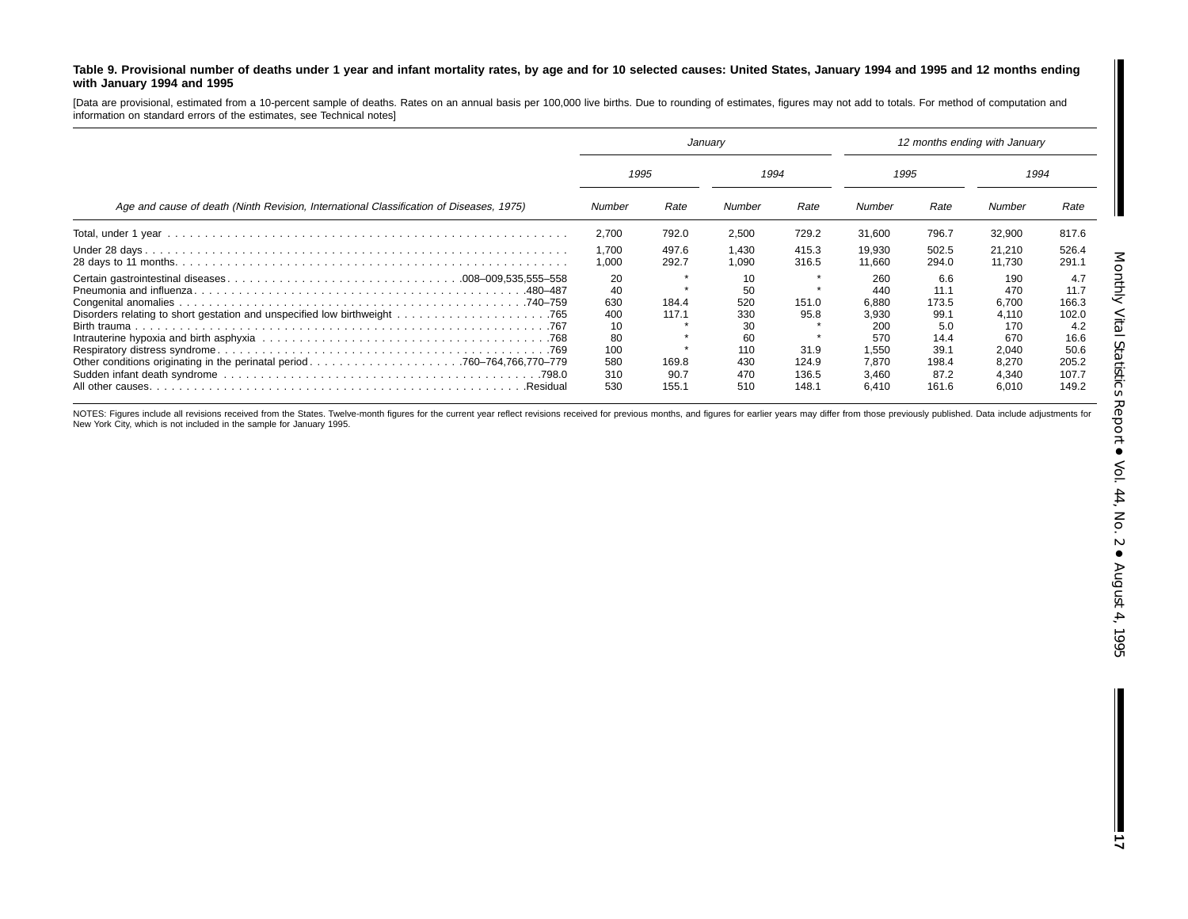#### Table 9. Provisional number of deaths under 1 year and infant mortality rates, by age and for 10 selected causes: United States, January 1994 and 1995 and 12 months ending **with January 1994 and 1995**

[Data are provisional, estimated from <sup>a</sup> 10-percent sample of deaths. Rates on an annual basis per 100,000 live births. Due to rounding of estimates, figures may not add to totals. For method of computation and information on standard errors of the estimates, see Technical notes]

|                                                                                         | January                              |                        |                                      | 12 months ending with January   |                                                |                                               |                                                |                                                |  |
|-----------------------------------------------------------------------------------------|--------------------------------------|------------------------|--------------------------------------|---------------------------------|------------------------------------------------|-----------------------------------------------|------------------------------------------------|------------------------------------------------|--|
|                                                                                         |                                      | 1995                   |                                      | 1994                            |                                                | 1995                                          |                                                | 1994                                           |  |
| Age and cause of death (Ninth Revision, International Classification of Diseases, 1975) | Number                               | Rate                   | Number                               | Rate                            | Number                                         | Rate                                          | Number                                         | Rate                                           |  |
|                                                                                         | 2,700                                | 792.0                  | 2,500                                | 729.2                           | 31.600                                         | 796.7                                         | 32,900                                         | 817.6                                          |  |
|                                                                                         | 1,700<br>1,000                       | 497.6<br>292.7         | 1,430<br>1,090                       | 415.3<br>316.5                  | 19,930<br>11.660                               | 502.5<br>294.0                                | 21.210<br>11.730                               | 526.4<br>291.1                                 |  |
|                                                                                         | 20<br>40<br>630<br>400               | 184.4<br>117.1         | 10<br>50<br>520<br>330               | - 41<br>151.0<br>95.8           | 260<br>440<br>6.880<br>3.930                   | 6.6<br>11.1<br>173.5<br>99.1                  | 190<br>470<br>6,700<br>4.110                   | 4.7<br>11.7<br>166.3<br>102.0                  |  |
| .Residual                                                                               | 10<br>80<br>100<br>580<br>310<br>530 | 169.8<br>90.7<br>155.1 | 30<br>60<br>110<br>430<br>470<br>510 | 31.9<br>124.9<br>136.5<br>148.1 | 200<br>570<br>1.550<br>7.870<br>3.460<br>6.410 | 5.0<br>14.4<br>39.1<br>198.4<br>87.2<br>161.6 | 170<br>670<br>2,040<br>8.270<br>4.340<br>6,010 | 4.2<br>16.6<br>50.6<br>205.2<br>107.7<br>149.2 |  |

NOTES: Figures include all revisions received from the States. Twelve-month figures for the current year reflect revisions received for previous months, and figures for earlier years may differ from those previously publis New York City, which is not included in the sample for January 1995.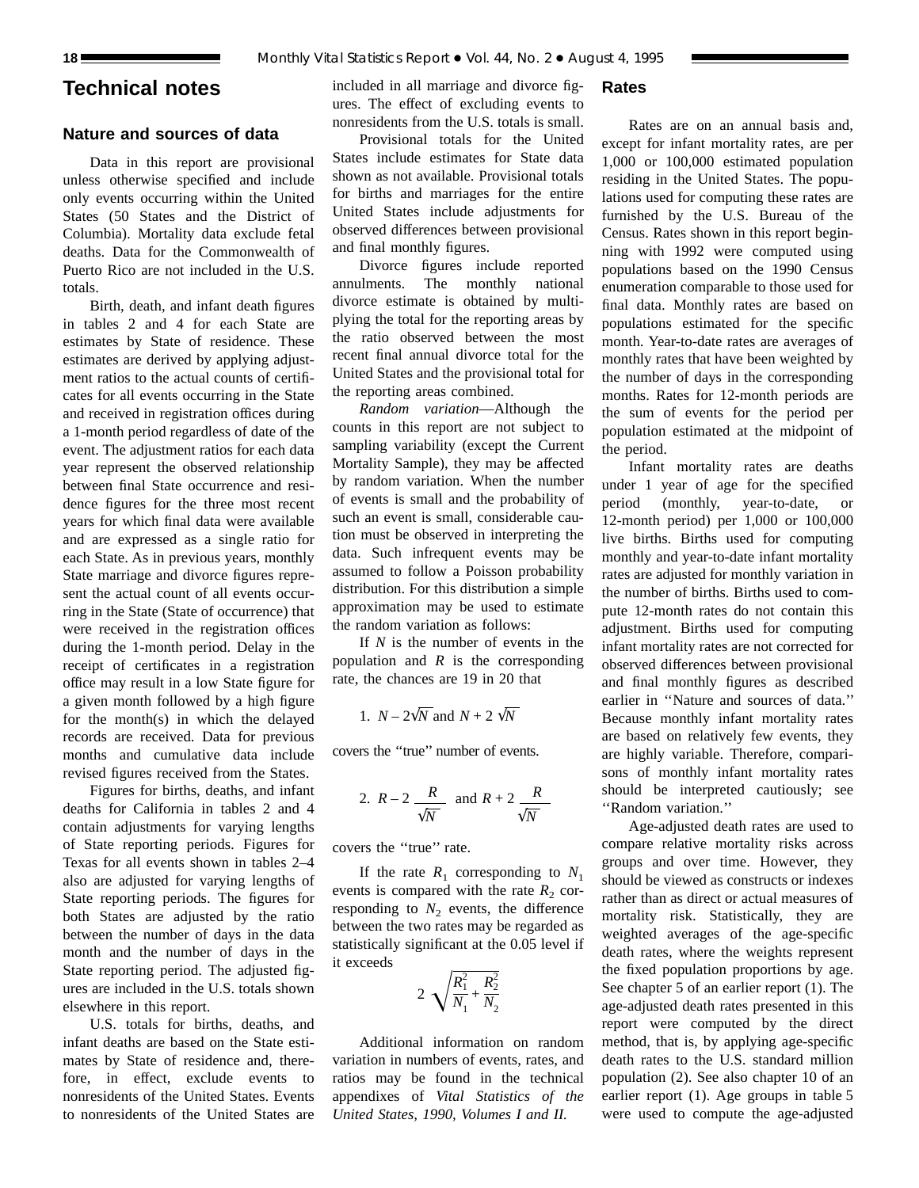## **Technical notes**

## **Nature and sources of data**

Data in this report are provisional unless otherwise specified and include only events occurring within the United States (50 States and the District of Columbia). Mortality data exclude fetal deaths. Data for the Commonwealth of Puerto Rico are not included in the U.S. totals.

Birth, death, and infant death figures in tables 2 and 4 for each State are estimates by State of residence. These estimates are derived by applying adjustment ratios to the actual counts of certificates for all events occurring in the State and received in registration offices during a 1-month period regardless of date of the event. The adjustment ratios for each data year represent the observed relationship between final State occurrence and residence figures for the three most recent years for which final data were available and are expressed as a single ratio for each State. As in previous years, monthly State marriage and divorce figures represent the actual count of all events occurring in the State (State of occurrence) that were received in the registration offices during the 1-month period. Delay in the receipt of certificates in a registration office may result in a low State figure for a given month followed by a high figure for the month(s) in which the delayed records are received. Data for previous months and cumulative data include revised figures received from the States.

Figures for births, deaths, and infant deaths for California in tables 2 and 4 contain adjustments for varying lengths of State reporting periods. Figures for Texas for all events shown in tables 2–4 also are adjusted for varying lengths of State reporting periods. The figures for both States are adjusted by the ratio between the number of days in the data month and the number of days in the State reporting period. The adjusted figures are included in the U.S. totals shown elsewhere in this report.

U.S. totals for births, deaths, and infant deaths are based on the State estimates by State of residence and, therefore, in effect, exclude events to nonresidents of the United States. Events to nonresidents of the United States are included in all marriage and divorce figures. The effect of excluding events to nonresidents from the U.S. totals is small.

## Provisional totals for the United States include estimates for State data shown as not available. Provisional totals for births and marriages for the entire United States include adjustments for observed differences between provisional and final monthly figures.

Divorce figures include reported annulments. The monthly national divorce estimate is obtained by multiplying the total for the reporting areas by the ratio observed between the most recent final annual divorce total for the United States and the provisional total for the reporting areas combined.

*Random variation*—Although the counts in this report are not subject to sampling variability (except the Current Mortality Sample), they may be affected by random variation. When the number of events is small and the probability of such an event is small, considerable caution must be observed in interpreting the data. Such infrequent events may be assumed to follow a Poisson probability distribution. For this distribution a simple approximation may be used to estimate the random variation as follows:

If *N* is the number of events in the population and *R* is the corresponding rate, the chances are 19 in 20 that

1. 
$$
N - 2\sqrt{N}
$$
 and  $N + 2\sqrt{N}$ 

covers the ''true'' number of events.

2. 
$$
R-2
$$
  $\frac{R}{\sqrt{N}}$  and  $R+2$   $\frac{R}{\sqrt{N}}$ 

covers the ''true'' rate.

If the rate  $R_1$  corresponding to  $N_1$ events is compared with the rate  $R_2$  corresponding to  $N_2$  events, the difference between the two rates may be regarded as statistically significant at the 0.05 level if it exceeds

$$
2\sqrt{\frac{R_1^2}{N_1} + \frac{R_2^2}{N_2}}
$$

Additional information on random variation in numbers of events, rates, and ratios may be found in the technical appendixes of *Vital Statistics of the United States, 1990, Volumes I and II.*

**Rates**

Rates are on an annual basis and, except for infant mortality rates, are per 1,000 or 100,000 estimated population residing in the United States. The populations used for computing these rates are furnished by the U.S. Bureau of the Census. Rates shown in this report beginning with 1992 were computed using populations based on the 1990 Census enumeration comparable to those used for final data. Monthly rates are based on populations estimated for the specific month. Year-to-date rates are averages of monthly rates that have been weighted by the number of days in the corresponding months. Rates for 12-month periods are the sum of events for the period per population estimated at the midpoint of the period.

Infant mortality rates are deaths under 1 year of age for the specified period (monthly, year-to-date, or 12-month period) per 1,000 or 100,000 live births. Births used for computing monthly and year-to-date infant mortality rates are adjusted for monthly variation in the number of births. Births used to compute 12-month rates do not contain this adjustment. Births used for computing infant mortality rates are not corrected for observed differences between provisional and final monthly figures as described earlier in ''Nature and sources of data.'' Because monthly infant mortality rates are based on relatively few events, they are highly variable. Therefore, comparisons of monthly infant mortality rates should be interpreted cautiously; see ''Random variation.''

Age-adjusted death rates are used to compare relative mortality risks across groups and over time. However, they should be viewed as constructs or indexes rather than as direct or actual measures of mortality risk. Statistically, they are weighted averages of the age-specific death rates, where the weights represent the fixed population proportions by age. See chapter 5 of an earlier report (1). The age-adjusted death rates presented in this report were computed by the direct method, that is, by applying age-specific death rates to the U.S. standard million population (2). See also chapter 10 of an earlier report (1). Age groups in table 5 were used to compute the age-adjusted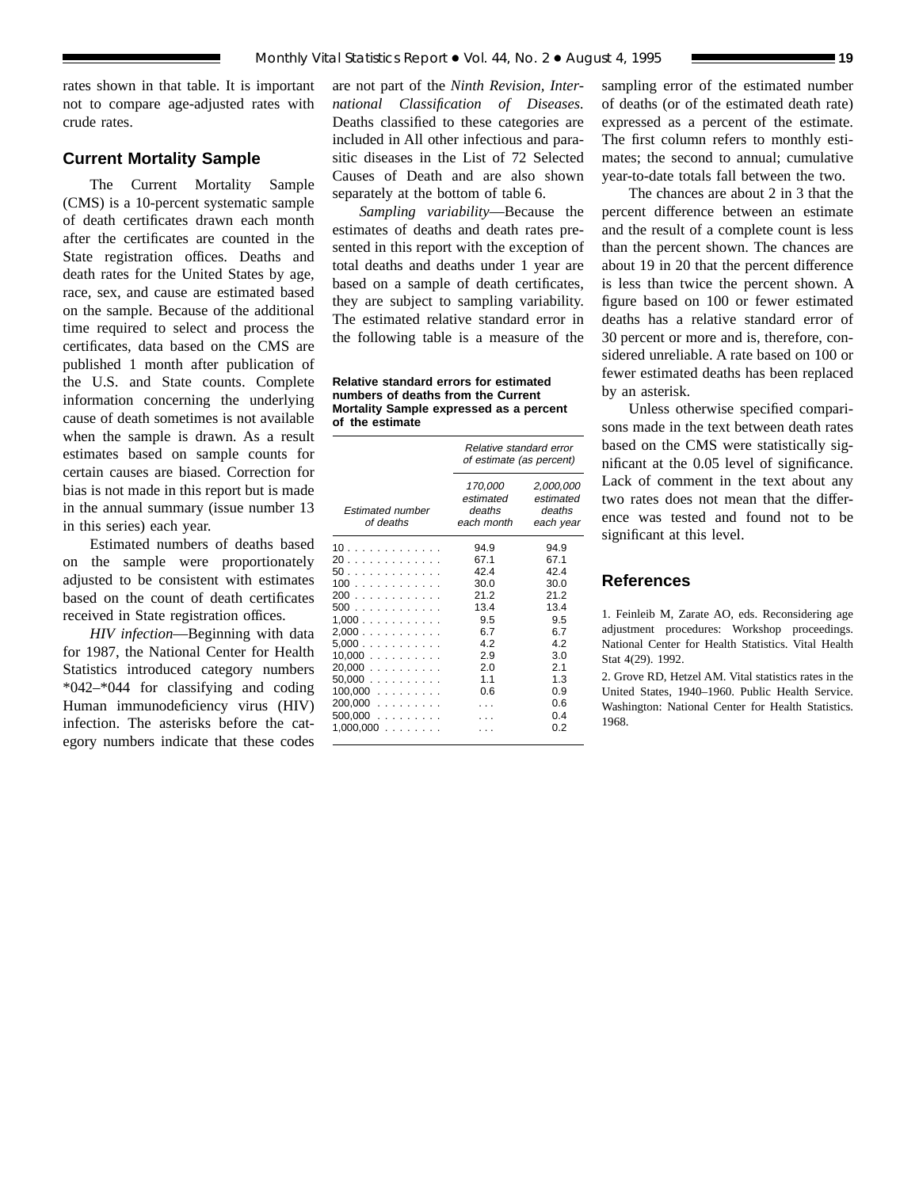rates shown in that table. It is important not to compare age-adjusted rates with crude rates.

## **Current Mortality Sample**

The Current Mortality Sample (CMS) is a 10-percent systematic sample of death certificates drawn each month after the certificates are counted in the State registration offices. Deaths and death rates for the United States by age, race, sex, and cause are estimated based on the sample. Because of the additional time required to select and process the certificates, data based on the CMS are published 1 month after publication of the U.S. and State counts. Complete information concerning the underlying cause of death sometimes is not available when the sample is drawn. As a result estimates based on sample counts for certain causes are biased. Correction for bias is not made in this report but is made in the annual summary (issue number 13 in this series) each year.

Estimated numbers of deaths based on the sample were proportionately adjusted to be consistent with estimates based on the count of death certificates received in State registration offices.

*HIV infection*—Beginning with data for 1987, the National Center for Health Statistics introduced category numbers \*042–\*044 for classifying and coding Human immunodeficiency virus (HIV) infection. The asterisks before the category numbers indicate that these codes

are not part of the *Ninth Revision, International Classification of Diseases.* Deaths classified to these categories are included in All other infectious and parasitic diseases in the List of 72 Selected Causes of Death and are also shown separately at the bottom of table 6.

*Sampling variability*—Because the estimates of deaths and death rates presented in this report with the exception of total deaths and deaths under 1 year are based on a sample of death certificates, they are subject to sampling variability. The estimated relative standard error in the following table is a measure of the

**Relative standard errors for estimated numbers of deaths from the Current Mortality Sample expressed as a percent of the estimate**

|                                                                                                                 | Relative standard error<br>of estimate (as percent)                                         |                                                                                                   |  |
|-----------------------------------------------------------------------------------------------------------------|---------------------------------------------------------------------------------------------|---------------------------------------------------------------------------------------------------|--|
| <b>Estimated number</b><br>of deaths                                                                            | 170,000<br>estimated<br>deaths<br>each month                                                | 2,000,000<br>estimated<br>deaths<br>each year                                                     |  |
| 10.<br>20<br>50.<br>100<br>200<br>500<br>1.000<br>2,000<br>5.000<br>$10,000$<br>$20,000$<br>50,000<br>$100,000$ | 94.9<br>67.1<br>42.4<br>30.0<br>212<br>13.4<br>9.5<br>6.7<br>42<br>2.9<br>2.0<br>1.1<br>0.6 | 94.9<br>67.1<br>424<br>30.0<br>21.2<br>13.4<br>9.5<br>67<br>42<br>3.0<br>2.1<br>1.3<br>0.9<br>0.6 |  |
| $200,000$<br>$500,000$<br>1,000,000<br>.                                                                        |                                                                                             | 04<br>0 2                                                                                         |  |

sampling error of the estimated number of deaths (or of the estimated death rate) expressed as a percent of the estimate. The first column refers to monthly estimates; the second to annual; cumulative year-to-date totals fall between the two.

The chances are about 2 in 3 that the percent difference between an estimate and the result of a complete count is less than the percent shown. The chances are about 19 in 20 that the percent difference is less than twice the percent shown. A figure based on 100 or fewer estimated deaths has a relative standard error of 30 percent or more and is, therefore, considered unreliable. A rate based on 100 or fewer estimated deaths has been replaced by an asterisk.

Unless otherwise specified comparisons made in the text between death rates based on the CMS were statistically significant at the 0.05 level of significance. Lack of comment in the text about any two rates does not mean that the difference was tested and found not to be significant at this level.

## **References**

1. Feinleib M, Zarate AO, eds. Reconsidering age adjustment procedures: Workshop proceedings. National Center for Health Statistics. Vital Health Stat 4(29). 1992.

2. Grove RD, Hetzel AM. Vital statistics rates in the United States, 1940–1960. Public Health Service. Washington: National Center for Health Statistics. 1968.